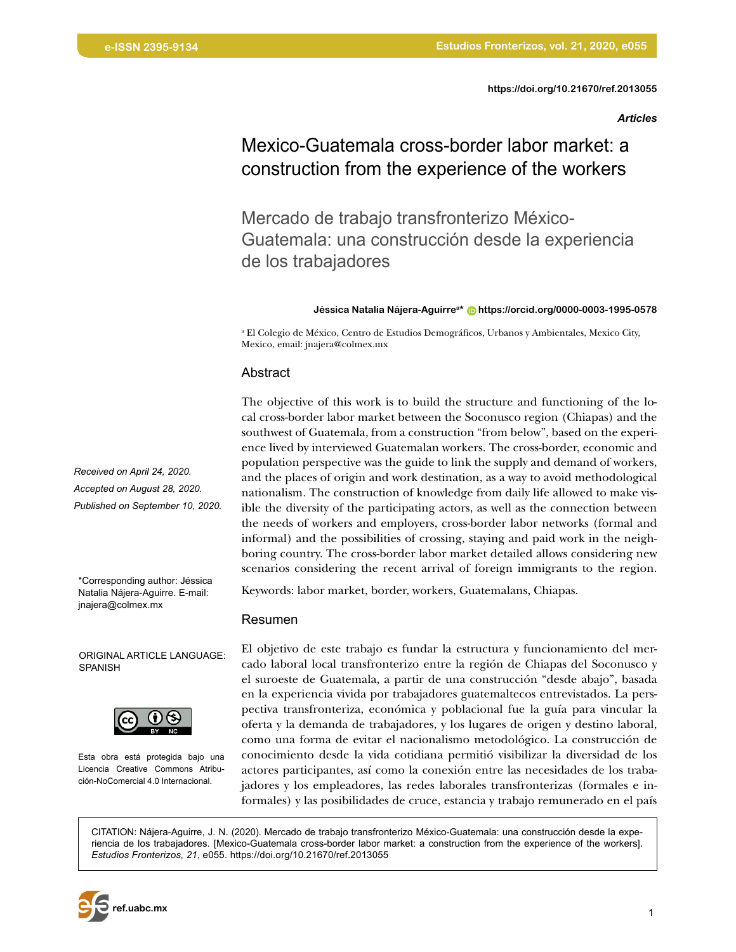*Articles*

# Mexico-Guatemala cross-border labor market: a construction from the experience of the workers

Mercado de trabajo transfronterizo México-Guatemala: una construcción desde la experiencia de los trabajadores

#### **Jéssica Natalia Nájera-Aguirrea\* [https://orcid.org/0000-0003-1995-0578](https://orcid.org/0000-0003-1995-0578 )**

a El Colegio de México, Centro de Estudios Demográficos, Urbanos y Ambientales, Mexico City, Mexico, email: jnajera@colmex.mx

#### Abstract

The objective of this work is to build the structure and functioning of the local cross-border labor market between the Soconusco region (Chiapas) and the southwest of Guatemala, from a construction "from below", based on the experience lived by interviewed Guatemalan workers. The cross-border, economic and population perspective was the guide to link the supply and demand of workers, and the places of origin and work destination, as a way to avoid methodological nationalism. The construction of knowledge from daily life allowed to make visible the diversity of the participating actors, as well as the connection between the needs of workers and employers, cross-border labor networks (formal and informal) and the possibilities of crossing, staying and paid work in the neighboring country. The cross-border labor market detailed allows considering new scenarios considering the recent arrival of foreign immigrants to the region.

Keywords: labor market, border, workers, Guatemalans, Chiapas.

#### Resumen

El objetivo de este trabajo es fundar la estructura y funcionamiento del mercado laboral local transfronterizo entre la región de Chiapas del Soconusco y el suroeste de Guatemala, a partir de una construcción "desde abajo", basada en la experiencia vivida por trabajadores guatemaltecos entrevistados. La perspectiva transfronteriza, económica y poblacional fue la guía para vincular la oferta y la demanda de trabajadores, y los lugares de origen y destino laboral, como una forma de evitar el nacionalismo metodológico. La construcción de conocimiento desde la vida cotidiana permitió visibilizar la diversidad de los actores participantes, así como la conexión entre las necesidades de los trabajadores y los empleadores, las redes laborales transfronterizas (formales e informales) y las posibilidades de cruce, estancia y trabajo remunerado en el país

CITATION: Nájera-Aguirre, J. N. (2020). Mercado de trabajo transfronterizo México-Guatemala: una construcción desde la experiencia de los trabajadores. [Mexico-Guatemala cross-border labor market: a construction from the experience of the workers]. *Estudios Fronterizos, 21*, e055. [https://doi.org/10.21670/ref.2013055](https://doi.org/10.21670/ref.2013055 )

*Received on April 24, 2020. Accepted on August 28, 2020. Published on September 10, 2020.*

\*Corresponding author: Jéssica Natalia Nájera-Aguirre. E-mail: jnajera@colmex.mx

ORIGINAL ARTICLE LANGUAGE: SPANISH



Esta obra está protegida bajo una Licencia Creative Commons Atribución-NoComercial 4.0 Internacional.

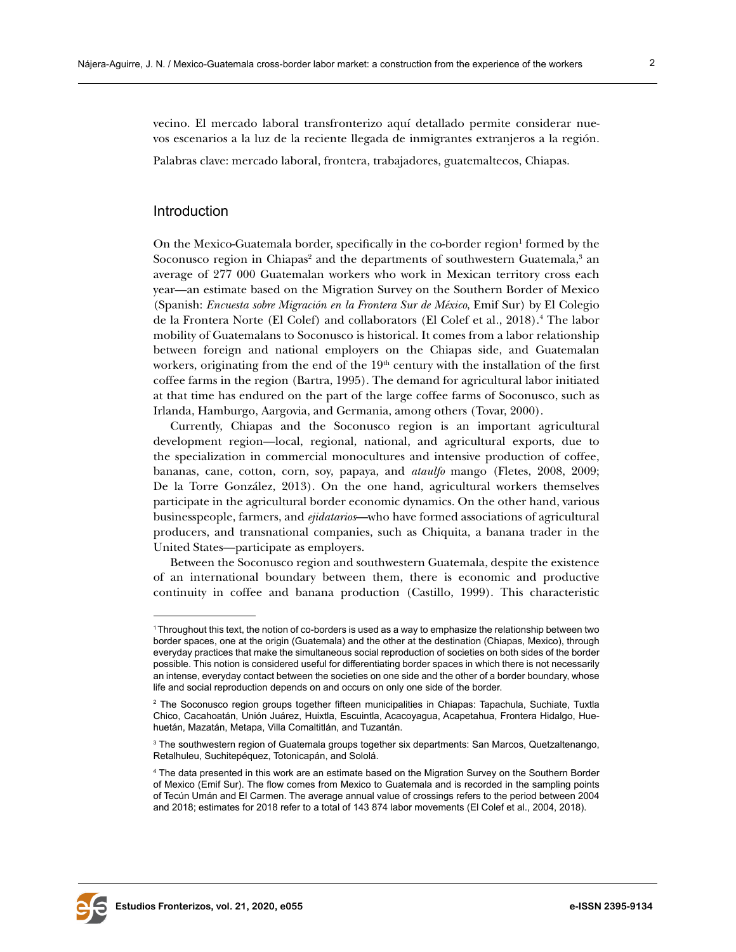vecino. El mercado laboral transfronterizo aquí detallado permite considerar nuevos escenarios a la luz de la reciente llegada de inmigrantes extranjeros a la región.

Palabras clave: mercado laboral, frontera, trabajadores, guatemaltecos, Chiapas.

#### Introduction

On the Mexico-Guatemala border, specifically in the co-border region<sup>1</sup> formed by the Soconusco region in Chiapas<sup>2</sup> and the departments of southwestern Guatemala, ${}^{3}$  an average of 277 000 Guatemalan workers who work in Mexican territory cross each year—an estimate based on the Migration Survey on the Southern Border of Mexico (Spanish: *Encuesta sobre Migración en la Frontera Sur de México*, Emif Sur) by El Colegio de la Frontera Norte (El Colef) and collaborators (El Colef et al*.*, 2018).4 The labor mobility of Guatemalans to Soconusco is historical. It comes from a labor relationship between foreign and national employers on the Chiapas side, and Guatemalan workers, originating from the end of the 19<sup>th</sup> century with the installation of the first coffee farms in the region (Bartra, 1995). The demand for agricultural labor initiated at that time has endured on the part of the large coffee farms of Soconusco, such as Irlanda, Hamburgo, Aargovia, and Germania, among others (Tovar, 2000).

Currently, Chiapas and the Soconusco region is an important agricultural development region—local, regional, national, and agricultural exports, due to the specialization in commercial monocultures and intensive production of coffee, bananas, cane, cotton, corn, soy, papaya, and *ataulfo* mango (Fletes, 2008, 2009; De la Torre González, 2013). On the one hand, agricultural workers themselves participate in the agricultural border economic dynamics. On the other hand, various businesspeople, farmers, and *ejidatarios*—who have formed associations of agricultural producers, and transnational companies, such as Chiquita, a banana trader in the United States—participate as employers.

Between the Soconusco region and southwestern Guatemala, despite the existence of an international boundary between them, there is economic and productive continuity in coffee and banana production (Castillo, 1999). This characteristic



<sup>1</sup>Throughout this text, the notion of co-borders is used as a way to emphasize the relationship between two border spaces, one at the origin (Guatemala) and the other at the destination (Chiapas, Mexico), through everyday practices that make the simultaneous social reproduction of societies on both sides of the border possible. This notion is considered useful for differentiating border spaces in which there is not necessarily an intense, everyday contact between the societies on one side and the other of a border boundary, whose life and social reproduction depends on and occurs on only one side of the border.

 $^{\rm 2}$  The Soconusco region groups together fifteen municipalities in Chiapas: Tapachula, Suchiate, Tuxtla Chico, Cacahoatán, Unión Juárez, Huixtla, Escuintla, Acacoyagua, Acapetahua, Frontera Hidalgo, Huehuetán, Mazatán, Metapa, Villa Comaltitlán, and Tuzantán.

 $\,{}^{3}$  The southwestern region of Guatemala groups together six departments: San Marcos, Quetzaltenango, Retalhuleu, Suchitepéquez, Totonicapán, and Sololá.

<sup>4</sup> The data presented in this work are an estimate based on the Migration Survey on the Southern Border of Mexico (Emif Sur). The flow comes from Mexico to Guatemala and is recorded in the sampling points of Tecún Umán and El Carmen. The average annual value of crossings refers to the period between 2004 and 2018; estimates for 2018 refer to a total of 143 874 labor movements (El Colef et al., 2004, 2018).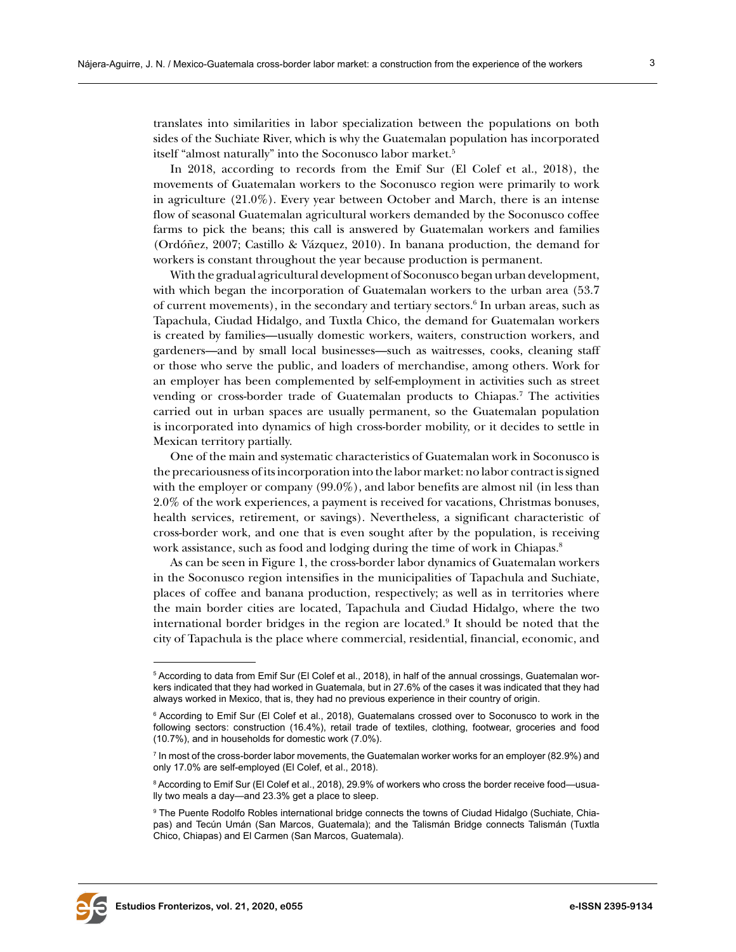translates into similarities in labor specialization between the populations on both sides of the Suchiate River, which is why the Guatemalan population has incorporated itself "almost naturally" into the Soconusco labor market.<sup>5</sup>

In 2018, according to records from the Emif Sur (El Colef et al., 2018), the movements of Guatemalan workers to the Soconusco region were primarily to work in agriculture (21.0%). Every year between October and March, there is an intense flow of seasonal Guatemalan agricultural workers demanded by the Soconusco coffee farms to pick the beans; this call is answered by Guatemalan workers and families (Ordóñez, 2007; Castillo & Vázquez, 2010). In banana production, the demand for workers is constant throughout the year because production is permanent.

With the gradual agricultural development of Soconusco began urban development, with which began the incorporation of Guatemalan workers to the urban area (53.7 of current movements), in the secondary and tertiary sectors.<sup>6</sup> In urban areas, such as Tapachula, Ciudad Hidalgo, and Tuxtla Chico, the demand for Guatemalan workers is created by families—usually domestic workers, waiters, construction workers, and gardeners—and by small local businesses—such as waitresses, cooks, cleaning staff or those who serve the public, and loaders of merchandise, among others. Work for an employer has been complemented by self-employment in activities such as street vending or cross-border trade of Guatemalan products to Chiapas.<sup>7</sup> The activities carried out in urban spaces are usually permanent, so the Guatemalan population is incorporated into dynamics of high cross-border mobility, or it decides to settle in Mexican territory partially.

One of the main and systematic characteristics of Guatemalan work in Soconusco is the precariousness of its incorporation into the labor market: no labor contract is signed with the employer or company (99.0%), and labor benefits are almost nil (in less than 2.0% of the work experiences, a payment is received for vacations, Christmas bonuses, health services, retirement, or savings). Nevertheless, a significant characteristic of cross-border work, and one that is even sought after by the population, is receiving work assistance, such as food and lodging during the time of work in Chiapas.<sup>8</sup>

As can be seen in Figure 1, the cross-border labor dynamics of Guatemalan workers in the Soconusco region intensifies in the municipalities of Tapachula and Suchiate, places of coffee and banana production, respectively; as well as in territories where the main border cities are located, Tapachula and Ciudad Hidalgo, where the two international border bridges in the region are located.<sup>9</sup> It should be noted that the city of Tapachula is the place where commercial, residential, financial, economic, and





 $^{\rm 5}$  According to data from Emif Sur (El Colef et al., 2018), in half of the annual crossings, Guatemalan workers indicated that they had worked in Guatemala, but in 27.6% of the cases it was indicated that they had always worked in Mexico, that is, they had no previous experience in their country of origin.

 $^6$  According to Emif Sur (El Colef et al., 2018), Guatemalans crossed over to Soconusco to work in the following sectors: construction (16.4%), retail trade of textiles, clothing, footwear, groceries and food (10.7%), and in households for domestic work (7.0%).

 $^7$  In most of the cross-border labor movements, the Guatemalan worker works for an employer (82.9%) and only 17.0% are self-employed (El Colef, et al., 2018).

 $^{\rm 8}$  According to Emif Sur (El Colef et al., 2018), 29.9% of workers who cross the border receive food—usually two meals a day—and 23.3% get a place to sleep.

<sup>9</sup> The Puente Rodolfo Robles international bridge connects the towns of Ciudad Hidalgo (Suchiate, Chiapas) and Tecún Umán (San Marcos, Guatemala); and the Talismán Bridge connects Talismán (Tuxtla Chico, Chiapas) and El Carmen (San Marcos, Guatemala).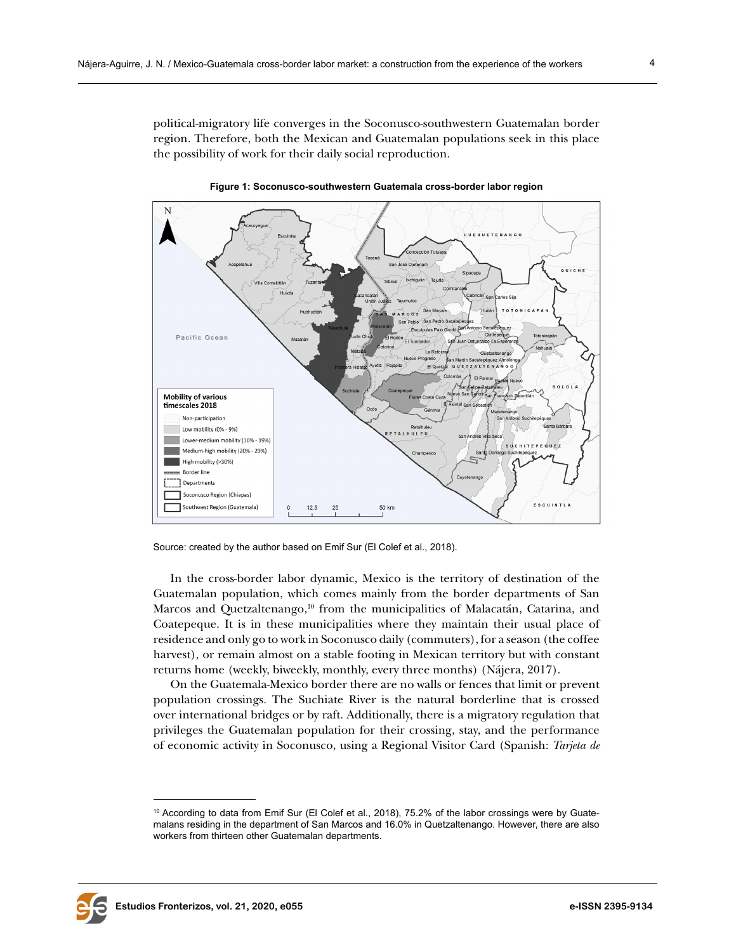political-migratory life converges in the Soconusco-southwestern Guatemalan border region. Therefore, both the Mexican and Guatemalan populations seek in this place the possibility of work for their daily social reproduction.



**Figure 1: Soconusco-southwestern Guatemala cross-border labor region**

Source: created by the author based on Emif Sur (El Colef et al., 2018).

In the cross-border labor dynamic, Mexico is the territory of destination of the Guatemalan population, which comes mainly from the border departments of San Marcos and Quetzaltenango,<sup>10</sup> from the municipalities of Malacatán, Catarina, and Coatepeque. It is in these municipalities where they maintain their usual place of residence and only go to work in Soconusco daily (commuters), for a season (the coffee harvest), or remain almost on a stable footing in Mexican territory but with constant returns home (weekly, biweekly, monthly, every three months) (Nájera, 2017).

On the Guatemala-Mexico border there are no walls or fences that limit or prevent population crossings. The Suchiate River is the natural borderline that is crossed over international bridges or by raft. Additionally, there is a migratory regulation that privileges the Guatemalan population for their crossing, stay, and the performance of economic activity in Soconusco, using a Regional Visitor Card (Spanish: *Tarjeta de* 



<sup>10</sup> According to data from Emif Sur (El Colef et al*.*, 2018), 75.2% of the labor crossings were by Guatemalans residing in the department of San Marcos and 16.0% in Quetzaltenango. However, there are also workers from thirteen other Guatemalan departments.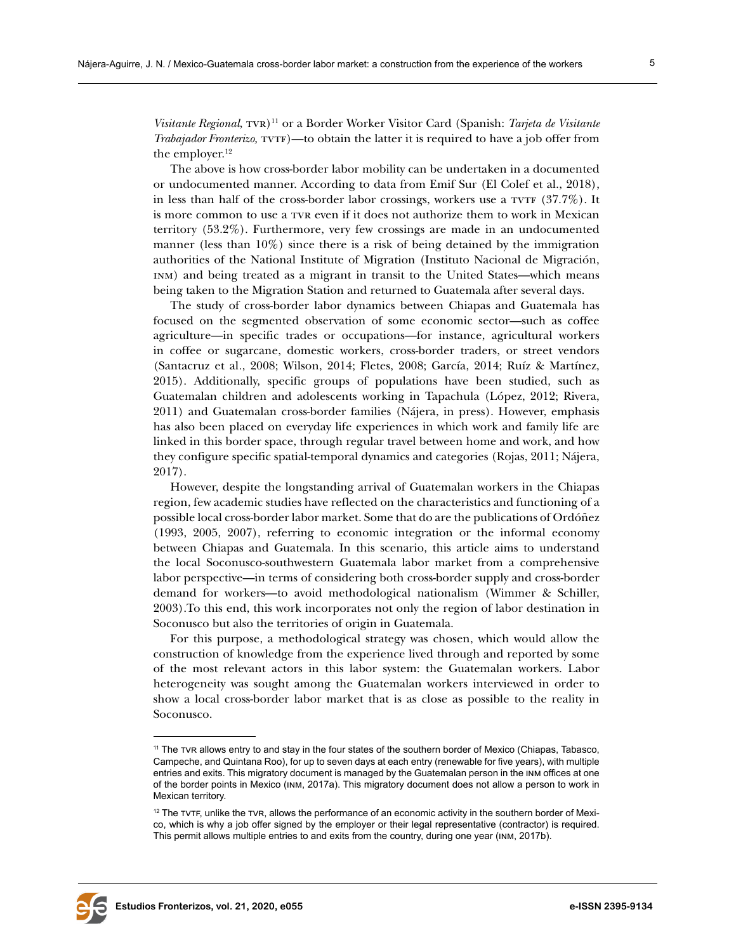*Visitante Regional*,  $TVR$ <sup>11</sup> or a Border Worker Visitor Card (Spanish: *Tarjeta de Visitante Trabajador Fronterizo,* TVTF)—to obtain the latter it is required to have a job offer from the employer.<sup>12</sup>

The above is how cross-border labor mobility can be undertaken in a documented or undocumented manner. According to data from Emif Sur (El Colef et al., 2018), in less than half of the cross-border labor crossings, workers use a  $TUTF$  (37.7%). It is more common to use a tvr even if it does not authorize them to work in Mexican territory (53.2%). Furthermore, very few crossings are made in an undocumented manner (less than 10%) since there is a risk of being detained by the immigration authorities of the National Institute of Migration (Instituto Nacional de Migración, inm) and being treated as a migrant in transit to the United States—which means being taken to the Migration Station and returned to Guatemala after several days.

The study of cross-border labor dynamics between Chiapas and Guatemala has focused on the segmented observation of some economic sector—such as coffee agriculture—in specific trades or occupations—for instance, agricultural workers in coffee or sugarcane, domestic workers, cross-border traders, or street vendors (Santacruz et al*.*, 2008; Wilson, 2014; Fletes, 2008; García, 2014; Ruíz & Martínez, 2015). Additionally, specific groups of populations have been studied, such as Guatemalan children and adolescents working in Tapachula (López, 2012; Rivera, 2011) and Guatemalan cross-border families (Nájera, in press). However, emphasis has also been placed on everyday life experiences in which work and family life are linked in this border space, through regular travel between home and work, and how they configure specific spatial-temporal dynamics and categories (Rojas, 2011; Nájera, 2017).

However, despite the longstanding arrival of Guatemalan workers in the Chiapas region, few academic studies have reflected on the characteristics and functioning of a possible local cross-border labor market. Some that do are the publications of Ordóñez (1993, 2005, 2007), referring to economic integration or the informal economy between Chiapas and Guatemala. In this scenario, this article aims to understand the local Soconusco-southwestern Guatemala labor market from a comprehensive labor perspective—in terms of considering both cross-border supply and cross-border demand for workers—to avoid methodological nationalism (Wimmer & Schiller, 2003).To this end, this work incorporates not only the region of labor destination in Soconusco but also the territories of origin in Guatemala.

For this purpose, a methodological strategy was chosen, which would allow the construction of knowledge from the experience lived through and reported by some of the most relevant actors in this labor system: the Guatemalan workers. Labor heterogeneity was sought among the Guatemalan workers interviewed in order to show a local cross-border labor market that is as close as possible to the reality in Soconusco.



<sup>&</sup>lt;sup>11</sup> The TVR allows entry to and stay in the four states of the southern border of Mexico (Chiapas, Tabasco, Campeche, and Quintana Roo), for up to seven days at each entry (renewable for five years), with multiple entries and exits. This migratory document is managed by the Guatemalan person in the inm offices at one of the border points in Mexico (inm, 2017a). This migratory document does not allow a person to work in Mexican territory.

 $12$  The  $T$ v $T$ F, unlike the  $T$ v $R$ , allows the performance of an economic activity in the southern border of Mexico, which is why a job offer signed by the employer or their legal representative (contractor) is required. This permit allows multiple entries to and exits from the country, during one year (inm, 2017b).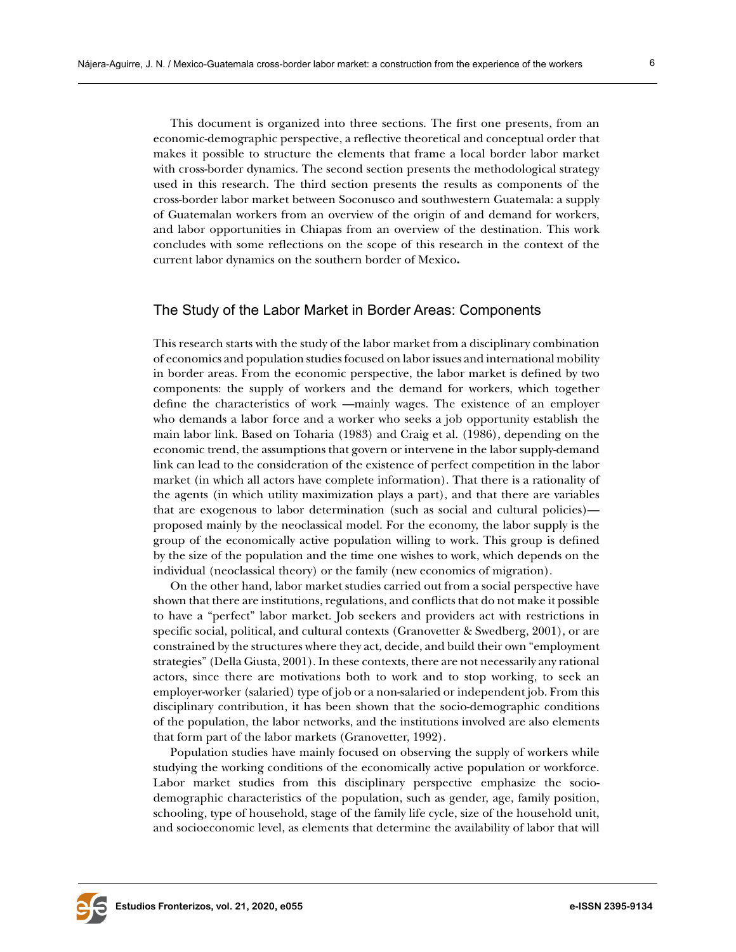This document is organized into three sections. The first one presents, from an economic-demographic perspective, a reflective theoretical and conceptual order that makes it possible to structure the elements that frame a local border labor market with cross-border dynamics. The second section presents the methodological strategy used in this research. The third section presents the results as components of the cross-border labor market between Soconusco and southwestern Guatemala: a supply of Guatemalan workers from an overview of the origin of and demand for workers, and labor opportunities in Chiapas from an overview of the destination. This work concludes with some reflections on the scope of this research in the context of the current labor dynamics on the southern border of Mexico**.**

## The Study of the Labor Market in Border Areas: Components

This research starts with the study of the labor market from a disciplinary combination of economics and population studies focused on labor issues and international mobility in border areas. From the economic perspective, the labor market is defined by two components: the supply of workers and the demand for workers, which together define the characteristics of work —mainly wages. The existence of an employer who demands a labor force and a worker who seeks a job opportunity establish the main labor link. Based on Toharia (1983) and Craig et al. (1986), depending on the economic trend, the assumptions that govern or intervene in the labor supply-demand link can lead to the consideration of the existence of perfect competition in the labor market (in which all actors have complete information). That there is a rationality of the agents (in which utility maximization plays a part), and that there are variables that are exogenous to labor determination (such as social and cultural policies) proposed mainly by the neoclassical model. For the economy, the labor supply is the group of the economically active population willing to work. This group is defined by the size of the population and the time one wishes to work, which depends on the individual (neoclassical theory) or the family (new economics of migration).

On the other hand, labor market studies carried out from a social perspective have shown that there are institutions, regulations, and conflicts that do not make it possible to have a "perfect" labor market. Job seekers and providers act with restrictions in specific social, political, and cultural contexts (Granovetter & Swedberg, 2001), or are constrained by the structures where they act, decide, and build their own "employment strategies" (Della Giusta, 2001). In these contexts, there are not necessarily any rational actors, since there are motivations both to work and to stop working, to seek an employer-worker (salaried) type of job or a non-salaried or independent job. From this disciplinary contribution, it has been shown that the socio-demographic conditions of the population, the labor networks, and the institutions involved are also elements that form part of the labor markets (Granovetter, 1992).

Population studies have mainly focused on observing the supply of workers while studying the working conditions of the economically active population or workforce. Labor market studies from this disciplinary perspective emphasize the sociodemographic characteristics of the population, such as gender, age, family position, schooling, type of household, stage of the family life cycle, size of the household unit, and socioeconomic level, as elements that determine the availability of labor that will

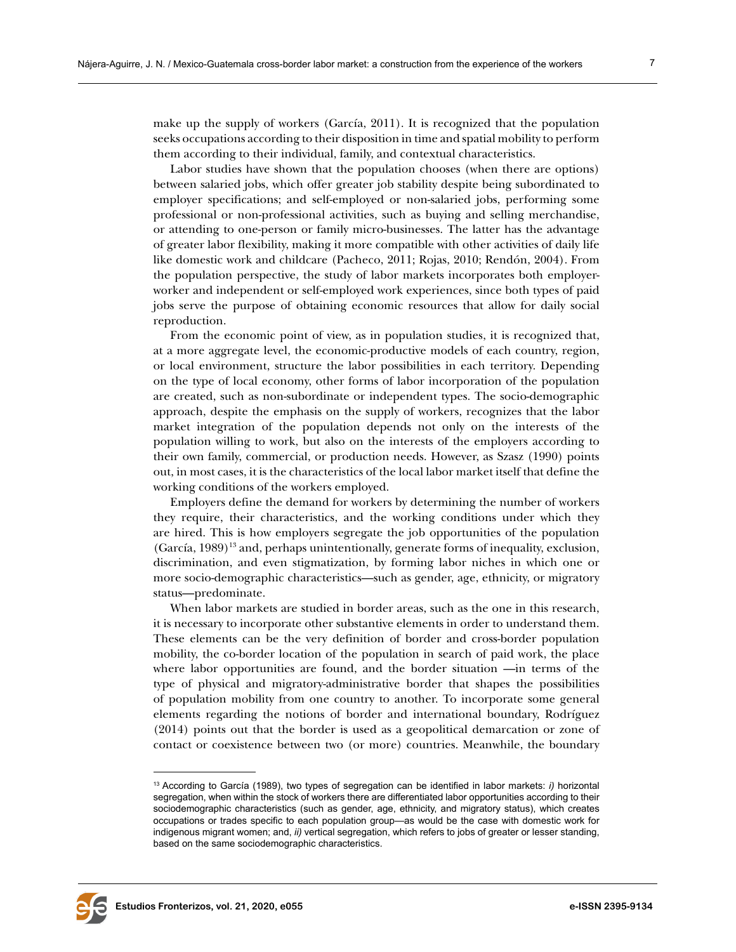make up the supply of workers (García, 2011). It is recognized that the population seeks occupations according to their disposition in time and spatial mobility to perform them according to their individual, family, and contextual characteristics.

Labor studies have shown that the population chooses (when there are options) between salaried jobs, which offer greater job stability despite being subordinated to employer specifications; and self-employed or non-salaried jobs, performing some professional or non-professional activities, such as buying and selling merchandise, or attending to one-person or family micro-businesses. The latter has the advantage of greater labor flexibility, making it more compatible with other activities of daily life like domestic work and childcare (Pacheco, 2011; Rojas, 2010; Rendón, 2004). From the population perspective, the study of labor markets incorporates both employerworker and independent or self-employed work experiences, since both types of paid jobs serve the purpose of obtaining economic resources that allow for daily social reproduction.

From the economic point of view, as in population studies, it is recognized that, at a more aggregate level, the economic-productive models of each country, region, or local environment, structure the labor possibilities in each territory. Depending on the type of local economy, other forms of labor incorporation of the population are created, such as non-subordinate or independent types. The socio-demographic approach, despite the emphasis on the supply of workers, recognizes that the labor market integration of the population depends not only on the interests of the population willing to work, but also on the interests of the employers according to their own family, commercial, or production needs. However, as Szasz (1990) points out, in most cases, it is the characteristics of the local labor market itself that define the working conditions of the workers employed.

Employers define the demand for workers by determining the number of workers they require, their characteristics, and the working conditions under which they are hired. This is how employers segregate the job opportunities of the population  $(García, 1989)^{13}$  and, perhaps unintentionally, generate forms of inequality, exclusion, discrimination, and even stigmatization, by forming labor niches in which one or more socio-demographic characteristics—such as gender, age, ethnicity, or migratory status—predominate.

When labor markets are studied in border areas, such as the one in this research, it is necessary to incorporate other substantive elements in order to understand them. These elements can be the very definition of border and cross-border population mobility, the co-border location of the population in search of paid work, the place where labor opportunities are found, and the border situation —in terms of the type of physical and migratory-administrative border that shapes the possibilities of population mobility from one country to another. To incorporate some general elements regarding the notions of border and international boundary, Rodríguez (2014) points out that the border is used as a geopolitical demarcation or zone of contact or coexistence between two (or more) countries. Meanwhile, the boundary



<sup>13</sup> According to García (1989), two types of segregation can be identified in labor markets: *i)* horizontal segregation, when within the stock of workers there are differentiated labor opportunities according to their sociodemographic characteristics (such as gender, age, ethnicity, and migratory status), which creates occupations or trades specific to each population group—as would be the case with domestic work for indigenous migrant women; and, *ii)* vertical segregation, which refers to jobs of greater or lesser standing, based on the same sociodemographic characteristics.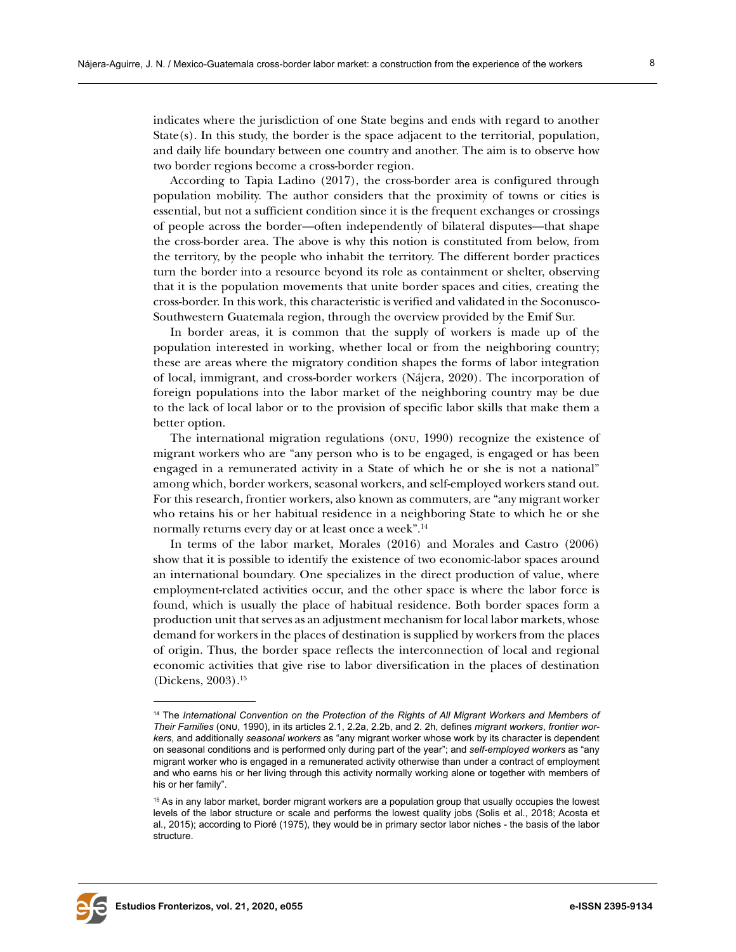indicates where the jurisdiction of one State begins and ends with regard to another State(s). In this study, the border is the space adjacent to the territorial, population, and daily life boundary between one country and another. The aim is to observe how two border regions become a cross-border region.

According to Tapia Ladino (2017), the cross-border area is configured through population mobility. The author considers that the proximity of towns or cities is essential, but not a sufficient condition since it is the frequent exchanges or crossings of people across the border—often independently of bilateral disputes—that shape the cross-border area. The above is why this notion is constituted from below, from the territory, by the people who inhabit the territory. The different border practices turn the border into a resource beyond its role as containment or shelter, observing that it is the population movements that unite border spaces and cities, creating the cross-border. In this work, this characteristic is verified and validated in the Soconusco-Southwestern Guatemala region, through the overview provided by the Emif Sur.

In border areas, it is common that the supply of workers is made up of the population interested in working, whether local or from the neighboring country; these are areas where the migratory condition shapes the forms of labor integration of local, immigrant, and cross-border workers (Nájera, 2020). The incorporation of foreign populations into the labor market of the neighboring country may be due to the lack of local labor or to the provision of specific labor skills that make them a better option.

The international migration regulations (onu, 1990) recognize the existence of migrant workers who are "any person who is to be engaged, is engaged or has been engaged in a remunerated activity in a State of which he or she is not a national" among which, border workers, seasonal workers, and self-employed workers stand out. For this research, frontier workers, also known as commuters, are "any migrant worker who retains his or her habitual residence in a neighboring State to which he or she normally returns every day or at least once a week".<sup>14</sup>

In terms of the labor market, Morales (2016) and Morales and Castro (2006) show that it is possible to identify the existence of two economic-labor spaces around an international boundary. One specializes in the direct production of value, where employment-related activities occur, and the other space is where the labor force is found, which is usually the place of habitual residence. Both border spaces form a production unit that serves as an adjustment mechanism for local labor markets, whose demand for workers in the places of destination is supplied by workers from the places of origin. Thus, the border space reflects the interconnection of local and regional economic activities that give rise to labor diversification in the places of destination (Dickens, 2003).15



<sup>14</sup> The *International Convention on the Protection of the Rights of All Migrant Workers and Members of Their Families* (onu, 1990), in its articles 2.1, 2.2a, 2.2b, and 2. 2h, defines *migrant workers*, *frontier workers*, and additionally *seasonal workers* as "any migrant worker whose work by its character is dependent on seasonal conditions and is performed only during part of the year"; and *self-employed workers* as "any migrant worker who is engaged in a remunerated activity otherwise than under a contract of employment and who earns his or her living through this activity normally working alone or together with members of his or her family".

<sup>15</sup> As in any labor market, border migrant workers are a population group that usually occupies the lowest levels of the labor structure or scale and performs the lowest quality jobs (Solis et al., 2018; Acosta et al*.*, 2015); according to Pioré (1975), they would be in primary sector labor niches - the basis of the labor structure.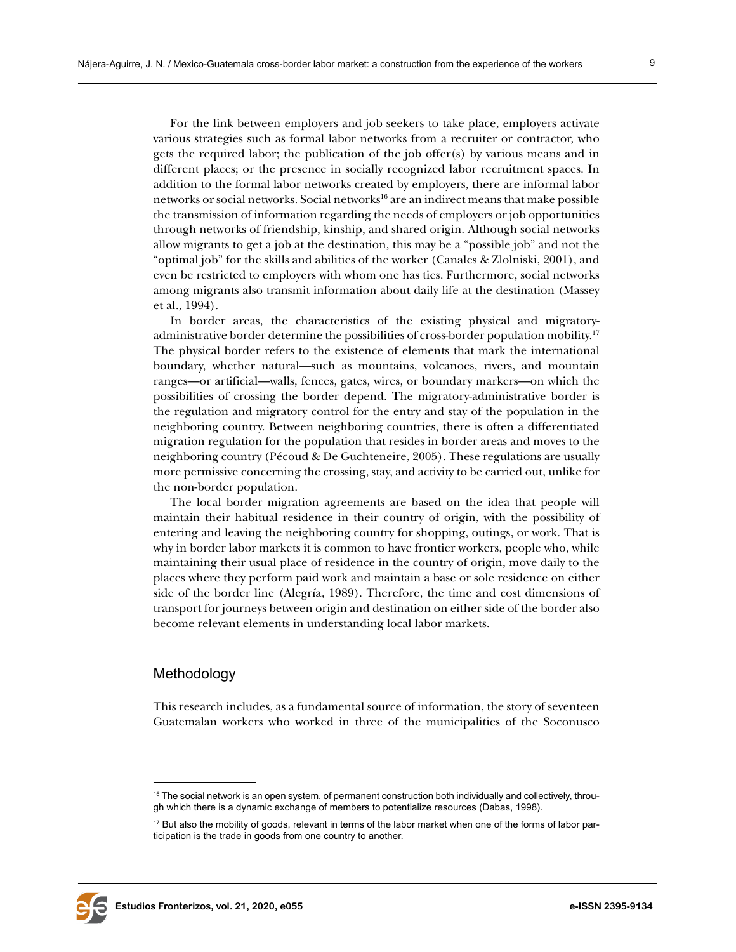For the link between employers and job seekers to take place, employers activate various strategies such as formal labor networks from a recruiter or contractor, who gets the required labor; the publication of the job offer(s) by various means and in different places; or the presence in socially recognized labor recruitment spaces. In addition to the formal labor networks created by employers, there are informal labor networks or social networks. Social networks16 are an indirect means that make possible the transmission of information regarding the needs of employers or job opportunities through networks of friendship, kinship, and shared origin. Although social networks allow migrants to get a job at the destination, this may be a "possible job" and not the "optimal job" for the skills and abilities of the worker (Canales & Zlolniski, 2001), and even be restricted to employers with whom one has ties. Furthermore, social networks among migrants also transmit information about daily life at the destination (Massey et al*.*, 1994).

In border areas, the characteristics of the existing physical and migratoryadministrative border determine the possibilities of cross-border population mobility.17 The physical border refers to the existence of elements that mark the international boundary, whether natural—such as mountains, volcanoes, rivers, and mountain ranges—or artificial—walls, fences, gates, wires, or boundary markers—on which the possibilities of crossing the border depend. The migratory-administrative border is the regulation and migratory control for the entry and stay of the population in the neighboring country. Between neighboring countries, there is often a differentiated migration regulation for the population that resides in border areas and moves to the neighboring country (Pécoud & De Guchteneire, 2005). These regulations are usually more permissive concerning the crossing, stay, and activity to be carried out, unlike for the non-border population.

The local border migration agreements are based on the idea that people will maintain their habitual residence in their country of origin, with the possibility of entering and leaving the neighboring country for shopping, outings, or work. That is why in border labor markets it is common to have frontier workers, people who, while maintaining their usual place of residence in the country of origin, move daily to the places where they perform paid work and maintain a base or sole residence on either side of the border line (Alegría, 1989). Therefore, the time and cost dimensions of transport for journeys between origin and destination on either side of the border also become relevant elements in understanding local labor markets.

## Methodology

This research includes, as a fundamental source of information, the story of seventeen Guatemalan workers who worked in three of the municipalities of the Soconusco



<sup>&</sup>lt;sup>16</sup> The social network is an open system, of permanent construction both individually and collectively, through which there is a dynamic exchange of members to potentialize resources (Dabas, 1998).

<sup>&</sup>lt;sup>17</sup> But also the mobility of goods, relevant in terms of the labor market when one of the forms of labor participation is the trade in goods from one country to another.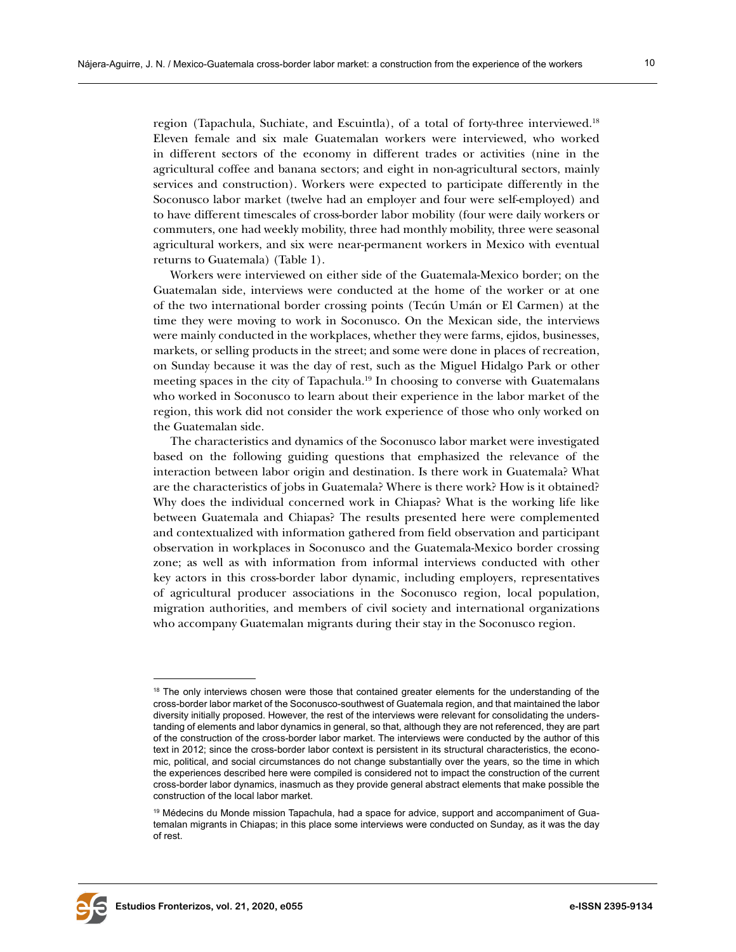region (Tapachula, Suchiate, and Escuintla), of a total of forty-three interviewed.18 Eleven female and six male Guatemalan workers were interviewed, who worked in different sectors of the economy in different trades or activities (nine in the agricultural coffee and banana sectors; and eight in non-agricultural sectors, mainly services and construction). Workers were expected to participate differently in the Soconusco labor market (twelve had an employer and four were self-employed) and to have different timescales of cross-border labor mobility (four were daily workers or commuters, one had weekly mobility, three had monthly mobility, three were seasonal agricultural workers, and six were near-permanent workers in Mexico with eventual returns to Guatemala) (Table 1).

Workers were interviewed on either side of the Guatemala-Mexico border; on the Guatemalan side, interviews were conducted at the home of the worker or at one of the two international border crossing points (Tecún Umán or El Carmen) at the time they were moving to work in Soconusco. On the Mexican side, the interviews were mainly conducted in the workplaces, whether they were farms, ejidos, businesses, markets, or selling products in the street; and some were done in places of recreation, on Sunday because it was the day of rest, such as the Miguel Hidalgo Park or other meeting spaces in the city of Tapachula.19 In choosing to converse with Guatemalans who worked in Soconusco to learn about their experience in the labor market of the region, this work did not consider the work experience of those who only worked on the Guatemalan side.

The characteristics and dynamics of the Soconusco labor market were investigated based on the following guiding questions that emphasized the relevance of the interaction between labor origin and destination. Is there work in Guatemala? What are the characteristics of jobs in Guatemala? Where is there work? How is it obtained? Why does the individual concerned work in Chiapas? What is the working life like between Guatemala and Chiapas? The results presented here were complemented and contextualized with information gathered from field observation and participant observation in workplaces in Soconusco and the Guatemala-Mexico border crossing zone; as well as with information from informal interviews conducted with other key actors in this cross-border labor dynamic, including employers, representatives of agricultural producer associations in the Soconusco region, local population, migration authorities, and members of civil society and international organizations who accompany Guatemalan migrants during their stay in the Soconusco region.



<sup>&</sup>lt;sup>18</sup> The only interviews chosen were those that contained greater elements for the understanding of the cross-border labor market of the Soconusco-southwest of Guatemala region, and that maintained the labor diversity initially proposed. However, the rest of the interviews were relevant for consolidating the understanding of elements and labor dynamics in general, so that, although they are not referenced, they are part of the construction of the cross-border labor market. The interviews were conducted by the author of this text in 2012; since the cross-border labor context is persistent in its structural characteristics, the economic, political, and social circumstances do not change substantially over the years, so the time in which the experiences described here were compiled is considered not to impact the construction of the current cross-border labor dynamics, inasmuch as they provide general abstract elements that make possible the construction of the local labor market.

<sup>19</sup> Médecins du Monde mission Tapachula, had a space for advice, support and accompaniment of Guatemalan migrants in Chiapas; in this place some interviews were conducted on Sunday, as it was the day of rest.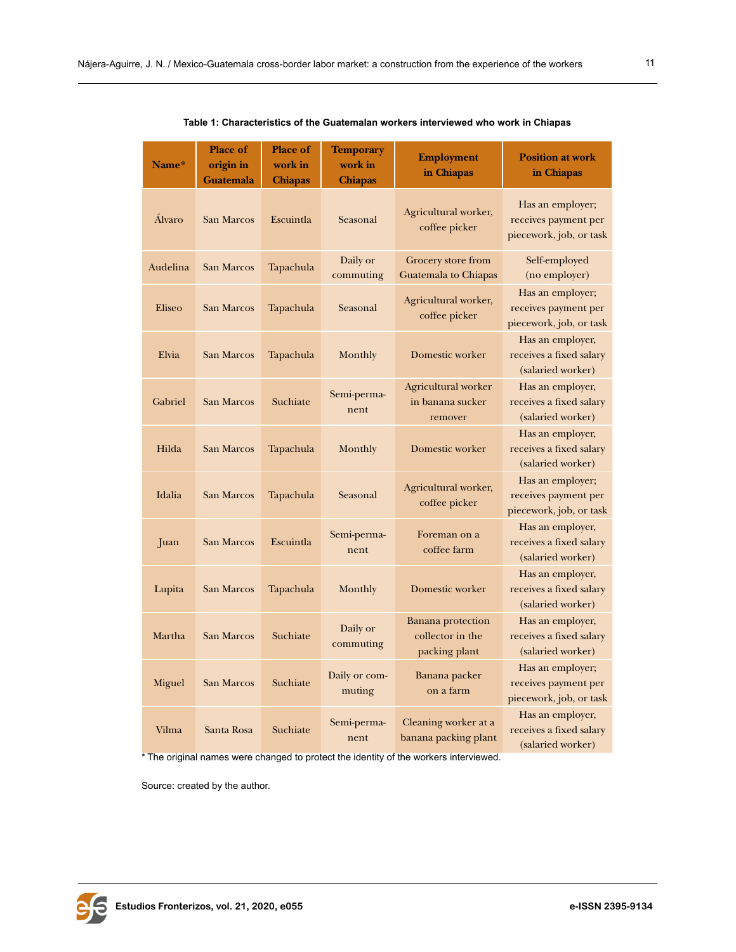| Name*    | <b>Place of</b><br>origin in<br><b>Guatemala</b> | <b>Place of</b><br>work in<br><b>Chiapas</b> | <b>Temporary</b><br>work in<br><b>Chiapas</b> | <b>Employment</b><br>in Chiapas                        | <b>Position at work</b><br>in Chiapas                               |
|----------|--------------------------------------------------|----------------------------------------------|-----------------------------------------------|--------------------------------------------------------|---------------------------------------------------------------------|
| Álvaro   | San Marcos                                       | Escuintla                                    | Seasonal                                      | Agricultural worker,<br>coffee picker                  | Has an employer;<br>receives payment per<br>piecework, job, or task |
| Audelina | San Marcos                                       | Tapachula                                    | Daily or<br>commuting                         | Grocery store from<br><b>Guatemala to Chiapas</b>      | Self-employed<br>(no employer)                                      |
| Eliseo   | San Marcos                                       | Tapachula                                    | Seasonal                                      | Agricultural worker,<br>coffee picker                  | Has an employer;<br>receives payment per<br>piecework, job, or task |
| Elvia    | <b>San Marcos</b>                                | Tapachula                                    | Monthly                                       | Domestic worker                                        | Has an employer,<br>receives a fixed salary<br>(salaried worker)    |
| Gabriel  | San Marcos                                       | Suchiate                                     | Semi-perma-<br>nent                           | Agricultural worker<br>in banana sucker<br>remover     | Has an employer,<br>receives a fixed salary<br>(salaried worker)    |
| Hilda    | San Marcos                                       | Tapachula                                    | Monthly                                       | Domestic worker                                        | Has an employer,<br>receives a fixed salary<br>(salaried worker)    |
| Idalia   | San Marcos                                       | Tapachula                                    | Seasonal                                      | Agricultural worker,<br>coffee picker                  | Has an employer;<br>receives payment per<br>piecework, job, or task |
| Juan     | San Marcos                                       | Escuintla                                    | Semi-perma-<br>nent                           | Foreman on a<br>coffee farm                            | Has an employer,<br>receives a fixed salary<br>(salaried worker)    |
| Lupita   | San Marcos                                       | Tapachula                                    | Monthly                                       | Domestic worker                                        | Has an employer,<br>receives a fixed salary<br>(salaried worker)    |
| Martha   | San Marcos                                       | Suchiate                                     | Daily or<br>commuting                         | Banana protection<br>collector in the<br>packing plant | Has an employer,<br>receives a fixed salary<br>(salaried worker)    |
| Miguel   | <b>San Marcos</b>                                | Suchiate                                     | Daily or com-<br>muting                       | Banana packer<br>on a farm                             | Has an employer;<br>receives payment per<br>piecework, job, or task |
| Vilma    | Santa Rosa                                       | Suchiate                                     | Semi-perma-<br>nent                           | Cleaning worker at a<br>banana packing plant           | Has an employer,<br>receives a fixed salary<br>(salaried worker)    |

**Table 1: Characteristics of the Guatemalan workers interviewed who work in Chiapas**

\* The original names were changed to protect the identity of the workers interviewed.

Source: created by the author.

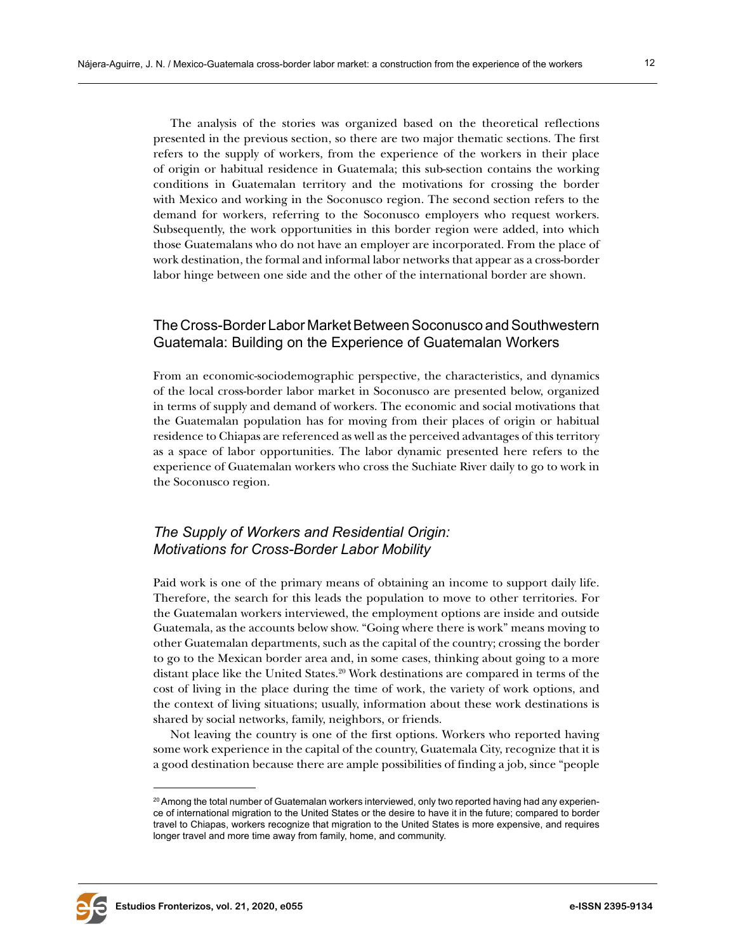The analysis of the stories was organized based on the theoretical reflections presented in the previous section, so there are two major thematic sections. The first refers to the supply of workers, from the experience of the workers in their place of origin or habitual residence in Guatemala; this sub-section contains the working conditions in Guatemalan territory and the motivations for crossing the border with Mexico and working in the Soconusco region. The second section refers to the demand for workers, referring to the Soconusco employers who request workers. Subsequently, the work opportunities in this border region were added, into which those Guatemalans who do not have an employer are incorporated. From the place of work destination, the formal and informal labor networks that appear as a cross-border labor hinge between one side and the other of the international border are shown.

## The Cross-Border Labor Market Between Soconusco and Southwestern Guatemala: Building on the Experience of Guatemalan Workers

From an economic-sociodemographic perspective, the characteristics, and dynamics of the local cross-border labor market in Soconusco are presented below, organized in terms of supply and demand of workers. The economic and social motivations that the Guatemalan population has for moving from their places of origin or habitual residence to Chiapas are referenced as well as the perceived advantages of this territory as a space of labor opportunities. The labor dynamic presented here refers to the experience of Guatemalan workers who cross the Suchiate River daily to go to work in the Soconusco region.

## *The Supply of Workers and Residential Origin: Motivations for Cross-Border Labor Mobility*

Paid work is one of the primary means of obtaining an income to support daily life. Therefore, the search for this leads the population to move to other territories. For the Guatemalan workers interviewed, the employment options are inside and outside Guatemala, as the accounts below show. "Going where there is work" means moving to other Guatemalan departments, such as the capital of the country; crossing the border to go to the Mexican border area and, in some cases, thinking about going to a more distant place like the United States.<sup>20</sup> Work destinations are compared in terms of the cost of living in the place during the time of work, the variety of work options, and the context of living situations; usually, information about these work destinations is shared by social networks, family, neighbors, or friends.

Not leaving the country is one of the first options. Workers who reported having some work experience in the capital of the country, Guatemala City, recognize that it is a good destination because there are ample possibilities of finding a job, since "people



<sup>&</sup>lt;sup>20</sup> Among the total number of Guatemalan workers interviewed, only two reported having had any experience of international migration to the United States or the desire to have it in the future; compared to border travel to Chiapas, workers recognize that migration to the United States is more expensive, and requires longer travel and more time away from family, home, and community.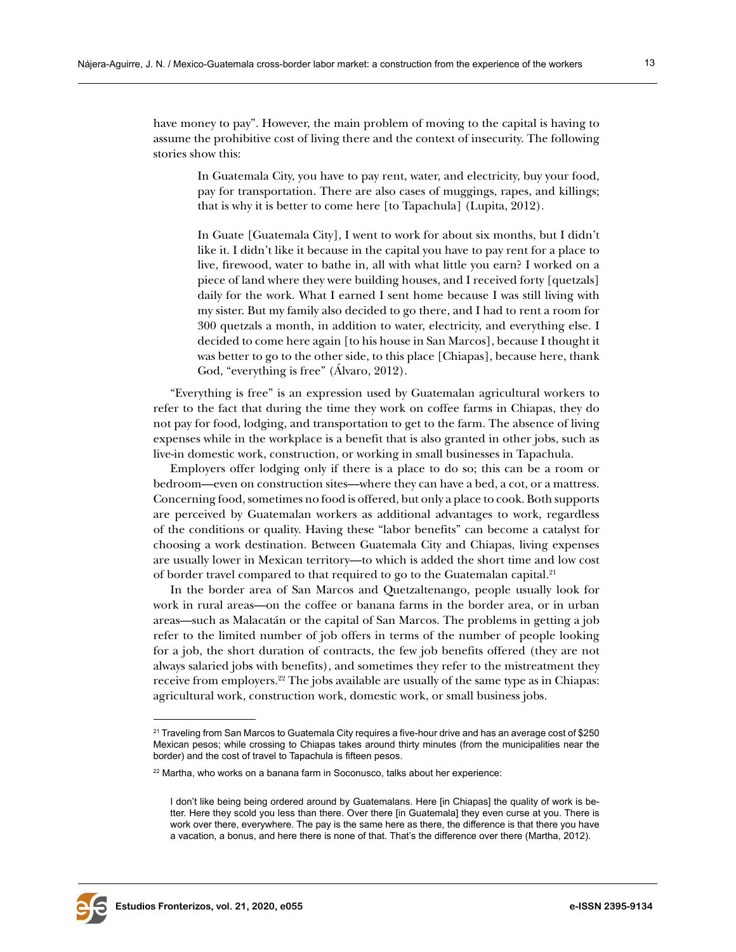have money to pay". However, the main problem of moving to the capital is having to assume the prohibitive cost of living there and the context of insecurity. The following stories show this:

In Guatemala City, you have to pay rent, water, and electricity, buy your food, pay for transportation. There are also cases of muggings, rapes, and killings; that is why it is better to come here [to Tapachula] (Lupita, 2012).

In Guate [Guatemala City], I went to work for about six months, but I didn't like it. I didn't like it because in the capital you have to pay rent for a place to live, firewood, water to bathe in, all with what little you earn? I worked on a piece of land where they were building houses, and I received forty [quetzals] daily for the work. What I earned I sent home because I was still living with my sister. But my family also decided to go there, and I had to rent a room for 300 quetzals a month, in addition to water, electricity, and everything else. I decided to come here again [to his house in San Marcos], because I thought it was better to go to the other side, to this place [Chiapas], because here, thank God, "everything is free" (Álvaro, 2012).

"Everything is free" is an expression used by Guatemalan agricultural workers to refer to the fact that during the time they work on coffee farms in Chiapas, they do not pay for food, lodging, and transportation to get to the farm. The absence of living expenses while in the workplace is a benefit that is also granted in other jobs, such as live-in domestic work, construction, or working in small businesses in Tapachula.

Employers offer lodging only if there is a place to do so; this can be a room or bedroom—even on construction sites—where they can have a bed, a cot, or a mattress. Concerning food, sometimes no food is offered, but only a place to cook. Both supports are perceived by Guatemalan workers as additional advantages to work, regardless of the conditions or quality. Having these "labor benefits" can become a catalyst for choosing a work destination. Between Guatemala City and Chiapas, living expenses are usually lower in Mexican territory—to which is added the short time and low cost of border travel compared to that required to go to the Guatemalan capital.<sup>21</sup>

In the border area of San Marcos and Quetzaltenango, people usually look for work in rural areas—on the coffee or banana farms in the border area, or in urban areas—such as Malacatán or the capital of San Marcos. The problems in getting a job refer to the limited number of job offers in terms of the number of people looking for a job, the short duration of contracts, the few job benefits offered (they are not always salaried jobs with benefits), and sometimes they refer to the mistreatment they receive from employers.22 The jobs available are usually of the same type as in Chiapas: agricultural work, construction work, domestic work, or small business jobs.



<sup>&</sup>lt;sup>21</sup> Traveling from San Marcos to Guatemala City requires a five-hour drive and has an average cost of \$250 Mexican pesos; while crossing to Chiapas takes around thirty minutes (from the municipalities near the border) and the cost of travel to Tapachula is fifteen pesos.

<sup>22</sup> Martha, who works on a banana farm in Soconusco, talks about her experience:

I don't like being being ordered around by Guatemalans. Here [in Chiapas] the quality of work is better. Here they scold you less than there. Over there [in Guatemala] they even curse at you. There is work over there, everywhere. The pay is the same here as there, the difference is that there you have a vacation, a bonus, and here there is none of that. That's the difference over there (Martha, 2012).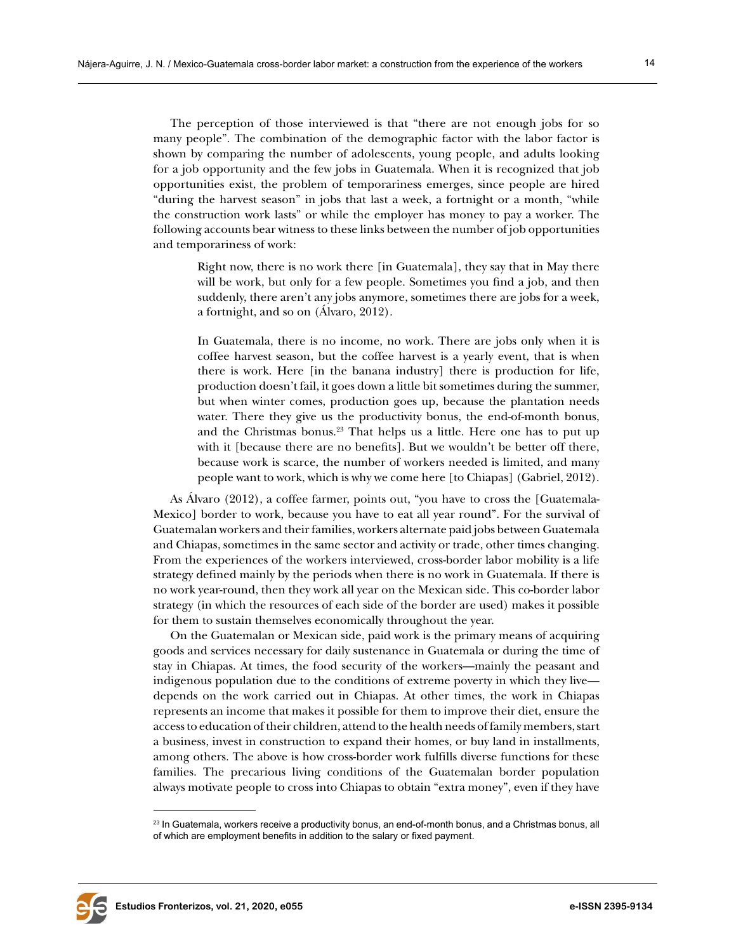and temporariness of work:

The perception of those interviewed is that "there are not enough jobs for so many people". The combination of the demographic factor with the labor factor is shown by comparing the number of adolescents, young people, and adults looking for a job opportunity and the few jobs in Guatemala. When it is recognized that job opportunities exist, the problem of temporariness emerges, since people are hired "during the harvest season" in jobs that last a week, a fortnight or a month, "while the construction work lasts" or while the employer has money to pay a worker. The following accounts bear witness to these links between the number of job opportunities

Right now, there is no work there [in Guatemala], they say that in May there will be work, but only for a few people. Sometimes you find a job, and then suddenly, there aren't any jobs anymore, sometimes there are jobs for a week, a fortnight, and so on (Álvaro, 2012).

In Guatemala, there is no income, no work. There are jobs only when it is coffee harvest season, but the coffee harvest is a yearly event, that is when there is work. Here [in the banana industry] there is production for life, production doesn't fail, it goes down a little bit sometimes during the summer, but when winter comes, production goes up, because the plantation needs water. There they give us the productivity bonus, the end-of-month bonus, and the Christmas bonus.<sup>23</sup> That helps us a little. Here one has to put up with it [because there are no benefits]. But we wouldn't be better off there, because work is scarce, the number of workers needed is limited, and many people want to work, which is why we come here [to Chiapas] (Gabriel, 2012).

As Álvaro (2012), a coffee farmer, points out, "you have to cross the [Guatemala-Mexico] border to work, because you have to eat all year round". For the survival of Guatemalan workers and their families, workers alternate paid jobs between Guatemala and Chiapas, sometimes in the same sector and activity or trade, other times changing. From the experiences of the workers interviewed, cross-border labor mobility is a life strategy defined mainly by the periods when there is no work in Guatemala. If there is no work year-round, then they work all year on the Mexican side. This co-border labor strategy (in which the resources of each side of the border are used) makes it possible for them to sustain themselves economically throughout the year.

On the Guatemalan or Mexican side, paid work is the primary means of acquiring goods and services necessary for daily sustenance in Guatemala or during the time of stay in Chiapas. At times, the food security of the workers—mainly the peasant and indigenous population due to the conditions of extreme poverty in which they live depends on the work carried out in Chiapas. At other times, the work in Chiapas represents an income that makes it possible for them to improve their diet, ensure the access to education of their children, attend to the health needs of family members, start a business, invest in construction to expand their homes, or buy land in installments, among others. The above is how cross-border work fulfills diverse functions for these families. The precarious living conditions of the Guatemalan border population always motivate people to cross into Chiapas to obtain "extra money", even if they have



<sup>&</sup>lt;sup>23</sup> In Guatemala, workers receive a productivity bonus, an end-of-month bonus, and a Christmas bonus, all of which are employment benefits in addition to the salary or fixed payment.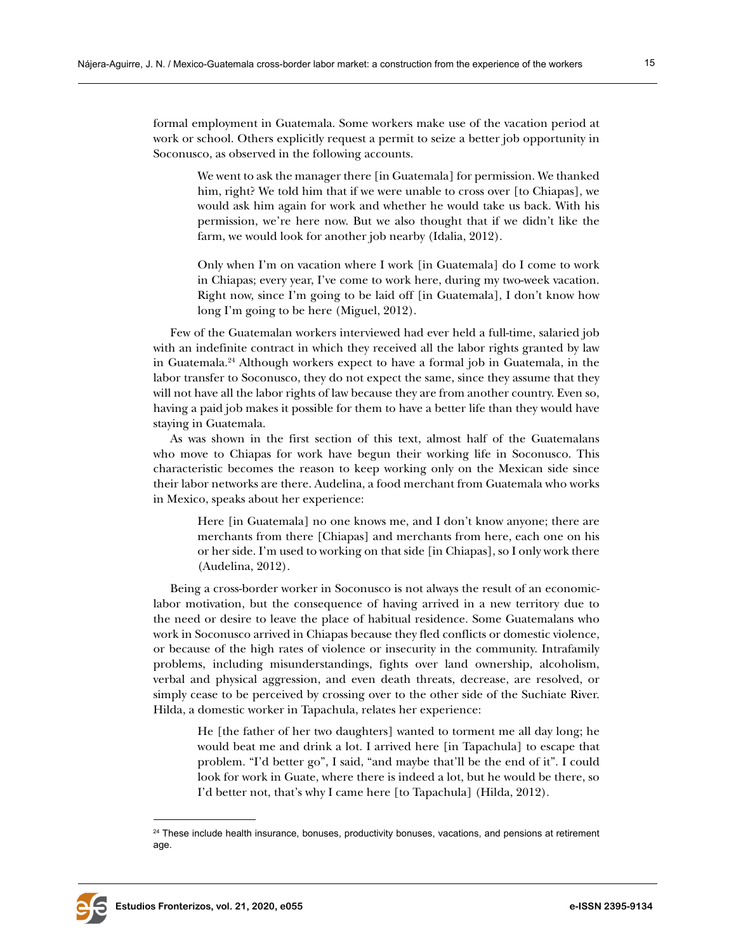formal employment in Guatemala. Some workers make use of the vacation period at work or school. Others explicitly request a permit to seize a better job opportunity in Soconusco, as observed in the following accounts.

We went to ask the manager there [in Guatemala] for permission. We thanked him, right? We told him that if we were unable to cross over [to Chiapas], we would ask him again for work and whether he would take us back. With his permission, we're here now. But we also thought that if we didn't like the farm, we would look for another job nearby (Idalia, 2012).

Only when I'm on vacation where I work [in Guatemala] do I come to work in Chiapas; every year, I've come to work here, during my two-week vacation. Right now, since I'm going to be laid off [in Guatemala], I don't know how long I'm going to be here (Miguel, 2012).

Few of the Guatemalan workers interviewed had ever held a full-time, salaried job with an indefinite contract in which they received all the labor rights granted by law in Guatemala.24 Although workers expect to have a formal job in Guatemala, in the labor transfer to Soconusco, they do not expect the same, since they assume that they will not have all the labor rights of law because they are from another country. Even so, having a paid job makes it possible for them to have a better life than they would have staying in Guatemala.

As was shown in the first section of this text, almost half of the Guatemalans who move to Chiapas for work have begun their working life in Soconusco. This characteristic becomes the reason to keep working only on the Mexican side since their labor networks are there. Audelina, a food merchant from Guatemala who works in Mexico, speaks about her experience:

Here [in Guatemala] no one knows me, and I don't know anyone; there are merchants from there [Chiapas] and merchants from here, each one on his or her side. I'm used to working on that side [in Chiapas], so I only work there (Audelina, 2012).

Being a cross-border worker in Soconusco is not always the result of an economiclabor motivation, but the consequence of having arrived in a new territory due to the need or desire to leave the place of habitual residence. Some Guatemalans who work in Soconusco arrived in Chiapas because they fled conflicts or domestic violence, or because of the high rates of violence or insecurity in the community. Intrafamily problems, including misunderstandings, fights over land ownership, alcoholism, verbal and physical aggression, and even death threats, decrease, are resolved, or simply cease to be perceived by crossing over to the other side of the Suchiate River. Hilda, a domestic worker in Tapachula, relates her experience:

He [the father of her two daughters] wanted to torment me all day long; he would beat me and drink a lot. I arrived here [in Tapachula] to escape that problem. "I'd better go", I said, "and maybe that'll be the end of it". I could look for work in Guate, where there is indeed a lot, but he would be there, so I'd better not, that's why I came here [to Tapachula] (Hilda, 2012).



<sup>&</sup>lt;sup>24</sup> These include health insurance, bonuses, productivity bonuses, vacations, and pensions at retirement age.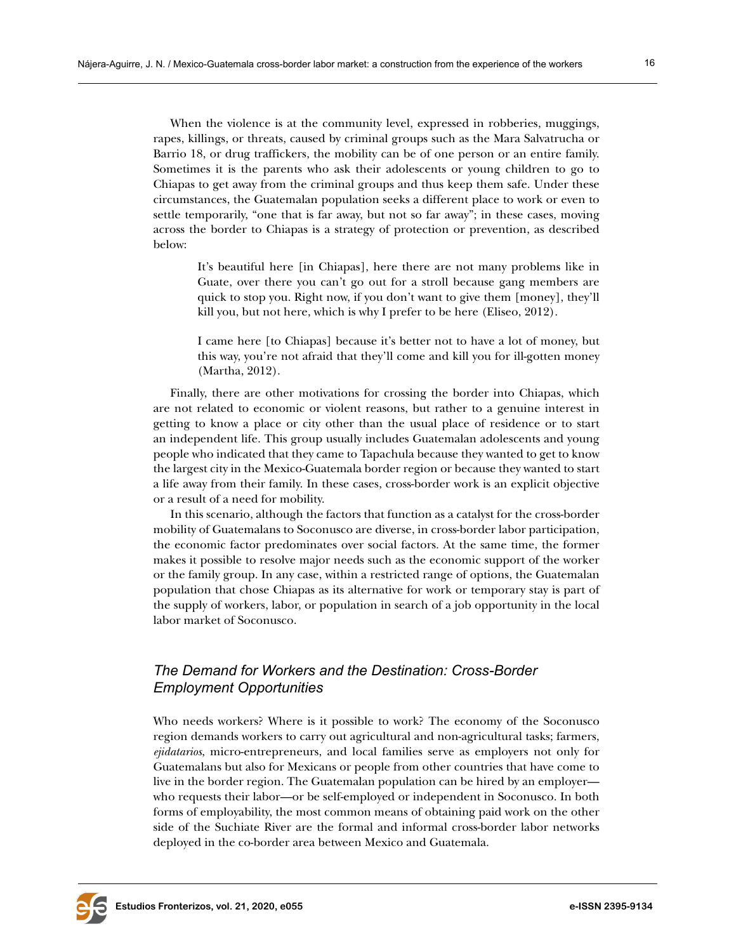When the violence is at the community level, expressed in robberies, muggings, rapes, killings, or threats, caused by criminal groups such as the Mara Salvatrucha or Barrio 18, or drug traffickers, the mobility can be of one person or an entire family. Sometimes it is the parents who ask their adolescents or young children to go to Chiapas to get away from the criminal groups and thus keep them safe. Under these circumstances, the Guatemalan population seeks a different place to work or even to settle temporarily, "one that is far away, but not so far away"; in these cases, moving across the border to Chiapas is a strategy of protection or prevention, as described

below:

It's beautiful here [in Chiapas], here there are not many problems like in Guate, over there you can't go out for a stroll because gang members are quick to stop you. Right now, if you don't want to give them [money], they'll kill you, but not here, which is why I prefer to be here (Eliseo, 2012).

I came here [to Chiapas] because it's better not to have a lot of money, but this way, you're not afraid that they'll come and kill you for ill-gotten money (Martha, 2012).

Finally, there are other motivations for crossing the border into Chiapas, which are not related to economic or violent reasons, but rather to a genuine interest in getting to know a place or city other than the usual place of residence or to start an independent life. This group usually includes Guatemalan adolescents and young people who indicated that they came to Tapachula because they wanted to get to know the largest city in the Mexico-Guatemala border region or because they wanted to start a life away from their family. In these cases, cross-border work is an explicit objective or a result of a need for mobility.

In this scenario, although the factors that function as a catalyst for the cross-border mobility of Guatemalans to Soconusco are diverse, in cross-border labor participation, the economic factor predominates over social factors. At the same time, the former makes it possible to resolve major needs such as the economic support of the worker or the family group. In any case, within a restricted range of options, the Guatemalan population that chose Chiapas as its alternative for work or temporary stay is part of the supply of workers, labor, or population in search of a job opportunity in the local labor market of Soconusco.

## *The Demand for Workers and the Destination: Cross-Border Employment Opportunities*

Who needs workers? Where is it possible to work? The economy of the Soconusco region demands workers to carry out agricultural and non-agricultural tasks; farmers, *ejidatarios*, micro-entrepreneurs, and local families serve as employers not only for Guatemalans but also for Mexicans or people from other countries that have come to live in the border region. The Guatemalan population can be hired by an employer who requests their labor—or be self-employed or independent in Soconusco. In both forms of employability, the most common means of obtaining paid work on the other side of the Suchiate River are the formal and informal cross-border labor networks deployed in the co-border area between Mexico and Guatemala.

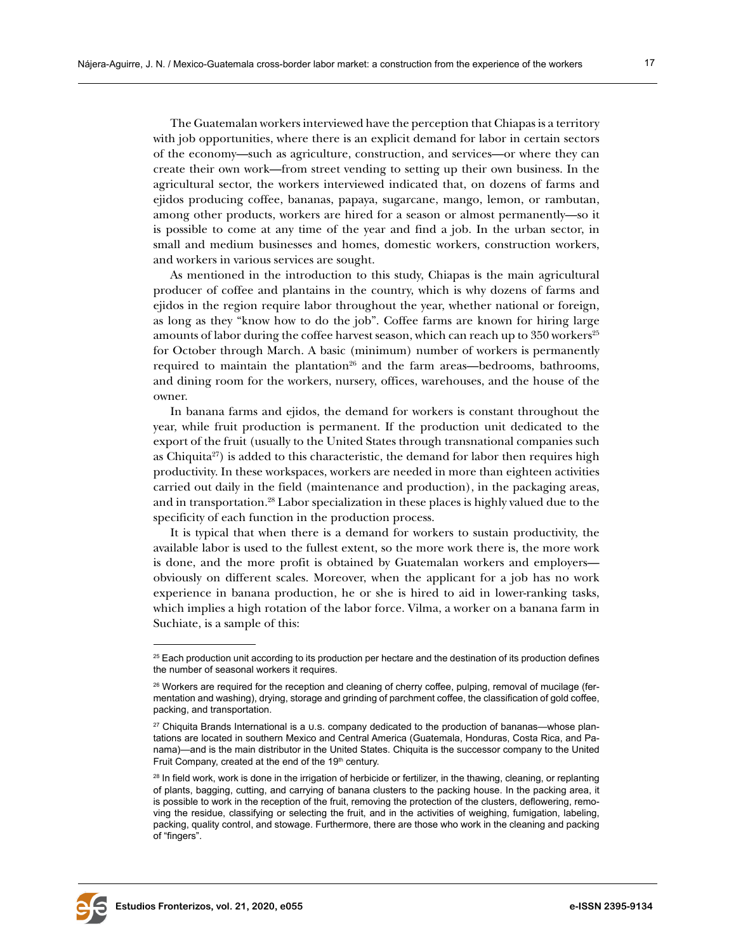The Guatemalan workers interviewed have the perception that Chiapas is a territory with job opportunities, where there is an explicit demand for labor in certain sectors of the economy—such as agriculture, construction, and services—or where they can create their own work—from street vending to setting up their own business. In the agricultural sector, the workers interviewed indicated that, on dozens of farms and ejidos producing coffee, bananas, papaya, sugarcane, mango, lemon, or rambutan, among other products, workers are hired for a season or almost permanently—so it is possible to come at any time of the year and find a job. In the urban sector, in small and medium businesses and homes, domestic workers, construction workers, and workers in various services are sought.

As mentioned in the introduction to this study, Chiapas is the main agricultural producer of coffee and plantains in the country, which is why dozens of farms and ejidos in the region require labor throughout the year, whether national or foreign, as long as they "know how to do the job". Coffee farms are known for hiring large amounts of labor during the coffee harvest season, which can reach up to  $350$  workers<sup>25</sup> for October through March. A basic (minimum) number of workers is permanently required to maintain the plantation<sup>26</sup> and the farm areas—bedrooms, bathrooms, and dining room for the workers, nursery, offices, warehouses, and the house of the owner.

In banana farms and ejidos, the demand for workers is constant throughout the year, while fruit production is permanent. If the production unit dedicated to the export of the fruit (usually to the United States through transnational companies such as Chiquita<sup>27</sup>) is added to this characteristic, the demand for labor then requires high productivity. In these workspaces, workers are needed in more than eighteen activities carried out daily in the field (maintenance and production), in the packaging areas, and in transportation.28 Labor specialization in these places is highly valued due to the specificity of each function in the production process.

It is typical that when there is a demand for workers to sustain productivity, the available labor is used to the fullest extent, so the more work there is, the more work is done, and the more profit is obtained by Guatemalan workers and employers obviously on different scales. Moreover, when the applicant for a job has no work experience in banana production, he or she is hired to aid in lower-ranking tasks, which implies a high rotation of the labor force. Vilma, a worker on a banana farm in Suchiate, is a sample of this:



<sup>&</sup>lt;sup>25</sup> Each production unit according to its production per hectare and the destination of its production defines the number of seasonal workers it requires.

<sup>&</sup>lt;sup>26</sup> Workers are required for the reception and cleaning of cherry coffee, pulping, removal of mucilage (fermentation and washing), drying, storage and grinding of parchment coffee, the classification of gold coffee, packing, and transportation.

<sup>&</sup>lt;sup>27</sup> Chiquita Brands International is a U.s. company dedicated to the production of bananas—whose plantations are located in southern Mexico and Central America (Guatemala, Honduras, Costa Rica, and Panama)—and is the main distributor in the United States. Chiquita is the successor company to the United Fruit Company, created at the end of the 19th century.

<sup>&</sup>lt;sup>28</sup> In field work, work is done in the irrigation of herbicide or fertilizer, in the thawing, cleaning, or replanting of plants, bagging, cutting, and carrying of banana clusters to the packing house. In the packing area, it is possible to work in the reception of the fruit, removing the protection of the clusters, deflowering, removing the residue, classifying or selecting the fruit, and in the activities of weighing, fumigation, labeling, packing, quality control, and stowage. Furthermore, there are those who work in the cleaning and packing of "fingers".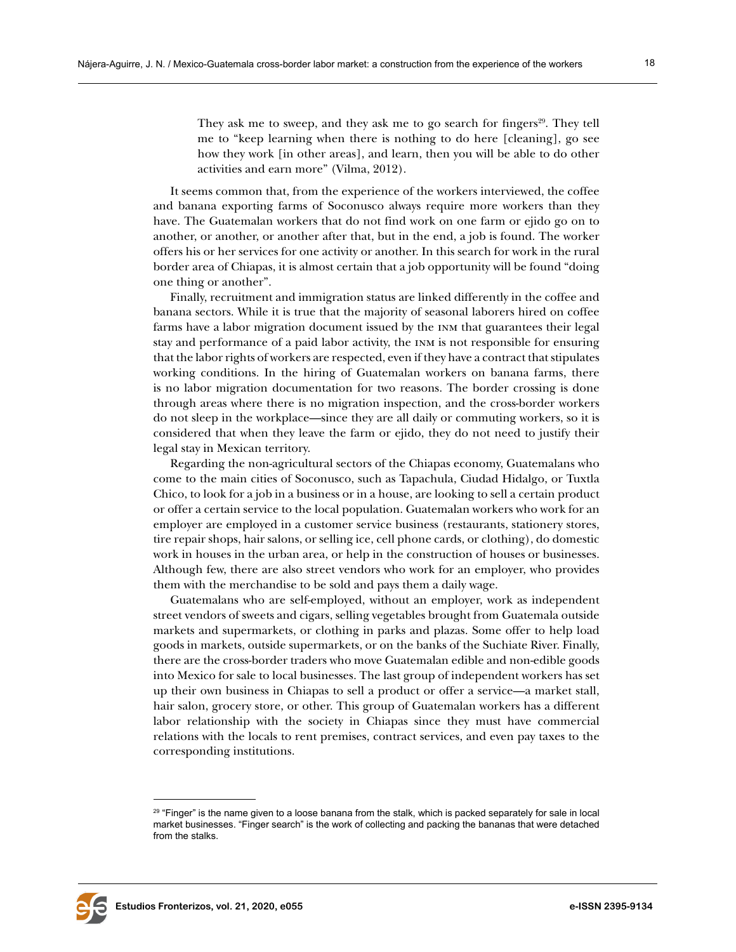They ask me to sweep, and they ask me to go search for fingers<sup>29</sup>. They tell me to "keep learning when there is nothing to do here [cleaning], go see how they work [in other areas], and learn, then you will be able to do other activities and earn more" (Vilma, 2012).

It seems common that, from the experience of the workers interviewed, the coffee and banana exporting farms of Soconusco always require more workers than they have. The Guatemalan workers that do not find work on one farm or ejido go on to another, or another, or another after that, but in the end, a job is found. The worker offers his or her services for one activity or another. In this search for work in the rural border area of Chiapas, it is almost certain that a job opportunity will be found "doing one thing or another".

Finally, recruitment and immigration status are linked differently in the coffee and banana sectors. While it is true that the majority of seasonal laborers hired on coffee farms have a labor migration document issued by the inm that guarantees their legal stay and performance of a paid labor activity, the inm is not responsible for ensuring that the labor rights of workers are respected, even if they have a contract that stipulates working conditions. In the hiring of Guatemalan workers on banana farms, there is no labor migration documentation for two reasons. The border crossing is done through areas where there is no migration inspection, and the cross-border workers do not sleep in the workplace—since they are all daily or commuting workers, so it is considered that when they leave the farm or ejido, they do not need to justify their legal stay in Mexican territory.

Regarding the non-agricultural sectors of the Chiapas economy, Guatemalans who come to the main cities of Soconusco, such as Tapachula, Ciudad Hidalgo, or Tuxtla Chico, to look for a job in a business or in a house, are looking to sell a certain product or offer a certain service to the local population. Guatemalan workers who work for an employer are employed in a customer service business (restaurants, stationery stores, tire repair shops, hair salons, or selling ice, cell phone cards, or clothing), do domestic work in houses in the urban area, or help in the construction of houses or businesses. Although few, there are also street vendors who work for an employer, who provides them with the merchandise to be sold and pays them a daily wage.

Guatemalans who are self-employed, without an employer, work as independent street vendors of sweets and cigars, selling vegetables brought from Guatemala outside markets and supermarkets, or clothing in parks and plazas. Some offer to help load goods in markets, outside supermarkets, or on the banks of the Suchiate River. Finally, there are the cross-border traders who move Guatemalan edible and non-edible goods into Mexico for sale to local businesses. The last group of independent workers has set up their own business in Chiapas to sell a product or offer a service—a market stall, hair salon, grocery store, or other. This group of Guatemalan workers has a different labor relationship with the society in Chiapas since they must have commercial relations with the locals to rent premises, contract services, and even pay taxes to the corresponding institutions.



<sup>&</sup>lt;sup>29</sup> "Finger" is the name given to a loose banana from the stalk, which is packed separately for sale in local market businesses. "Finger search" is the work of collecting and packing the bananas that were detached from the stalks.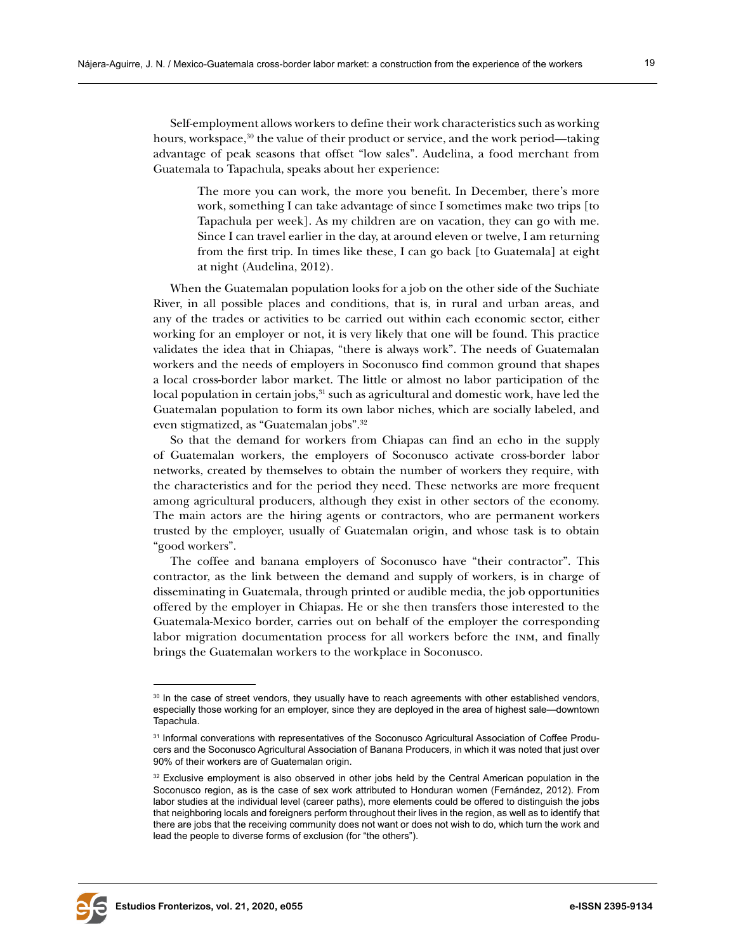Self-employment allows workers to define their work characteristics such as working hours, workspace,<sup>30</sup> the value of their product or service, and the work period—taking advantage of peak seasons that offset "low sales". Audelina, a food merchant from Guatemala to Tapachula, speaks about her experience:

The more you can work, the more you benefit. In December, there's more work, something I can take advantage of since I sometimes make two trips [to Tapachula per week]. As my children are on vacation, they can go with me. Since I can travel earlier in the day, at around eleven or twelve, I am returning from the first trip. In times like these, I can go back [to Guatemala] at eight at night (Audelina, 2012).

When the Guatemalan population looks for a job on the other side of the Suchiate River, in all possible places and conditions, that is, in rural and urban areas, and any of the trades or activities to be carried out within each economic sector, either working for an employer or not, it is very likely that one will be found. This practice validates the idea that in Chiapas, "there is always work". The needs of Guatemalan workers and the needs of employers in Soconusco find common ground that shapes a local cross-border labor market. The little or almost no labor participation of the local population in certain jobs, $31$  such as agricultural and domestic work, have led the Guatemalan population to form its own labor niches, which are socially labeled, and even stigmatized, as "Guatemalan jobs".32

So that the demand for workers from Chiapas can find an echo in the supply of Guatemalan workers, the employers of Soconusco activate cross-border labor networks, created by themselves to obtain the number of workers they require, with the characteristics and for the period they need. These networks are more frequent among agricultural producers, although they exist in other sectors of the economy. The main actors are the hiring agents or contractors, who are permanent workers trusted by the employer, usually of Guatemalan origin, and whose task is to obtain "good workers".

The coffee and banana employers of Soconusco have "their contractor". This contractor, as the link between the demand and supply of workers, is in charge of disseminating in Guatemala, through printed or audible media, the job opportunities offered by the employer in Chiapas. He or she then transfers those interested to the Guatemala-Mexico border, carries out on behalf of the employer the corresponding labor migration documentation process for all workers before the inm, and finally brings the Guatemalan workers to the workplace in Soconusco.



<sup>&</sup>lt;sup>30</sup> In the case of street vendors, they usually have to reach agreements with other established vendors, especially those working for an employer, since they are deployed in the area of highest sale—downtown Tapachula.

<sup>&</sup>lt;sup>31</sup> Informal converations with representatives of the Soconusco Agricultural Association of Coffee Producers and the Soconusco Agricultural Association of Banana Producers, in which it was noted that just over 90% of their workers are of Guatemalan origin.

 $32$  Exclusive employment is also observed in other jobs held by the Central American population in the Soconusco region, as is the case of sex work attributed to Honduran women (Fernández, 2012). From labor studies at the individual level (career paths), more elements could be offered to distinguish the jobs that neighboring locals and foreigners perform throughout their lives in the region, as well as to identify that there are jobs that the receiving community does not want or does not wish to do, which turn the work and lead the people to diverse forms of exclusion (for "the others").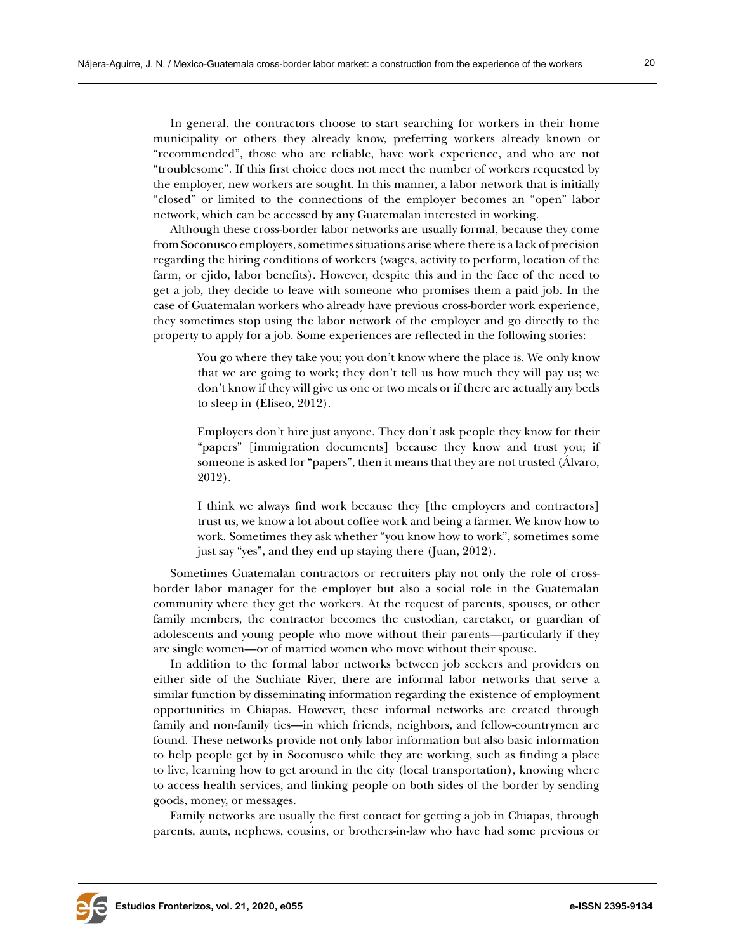In general, the contractors choose to start searching for workers in their home municipality or others they already know, preferring workers already known or "recommended", those who are reliable, have work experience, and who are not "troublesome". If this first choice does not meet the number of workers requested by the employer, new workers are sought. In this manner, a labor network that is initially "closed" or limited to the connections of the employer becomes an "open" labor network, which can be accessed by any Guatemalan interested in working.

Although these cross-border labor networks are usually formal, because they come from Soconusco employers, sometimes situations arise where there is a lack of precision regarding the hiring conditions of workers (wages, activity to perform, location of the farm, or ejido, labor benefits). However, despite this and in the face of the need to get a job, they decide to leave with someone who promises them a paid job. In the case of Guatemalan workers who already have previous cross-border work experience, they sometimes stop using the labor network of the employer and go directly to the property to apply for a job. Some experiences are reflected in the following stories:

You go where they take you; you don't know where the place is. We only know that we are going to work; they don't tell us how much they will pay us; we don't know if they will give us one or two meals or if there are actually any beds to sleep in (Eliseo, 2012).

Employers don't hire just anyone. They don't ask people they know for their "papers" [immigration documents] because they know and trust you; if someone is asked for "papers", then it means that they are not trusted (Álvaro, 2012).

I think we always find work because they [the employers and contractors] trust us, we know a lot about coffee work and being a farmer. We know how to work. Sometimes they ask whether "you know how to work", sometimes some just say "yes", and they end up staying there (Juan, 2012).

Sometimes Guatemalan contractors or recruiters play not only the role of crossborder labor manager for the employer but also a social role in the Guatemalan community where they get the workers. At the request of parents, spouses, or other family members, the contractor becomes the custodian, caretaker, or guardian of adolescents and young people who move without their parents—particularly if they are single women—or of married women who move without their spouse.

In addition to the formal labor networks between job seekers and providers on either side of the Suchiate River, there are informal labor networks that serve a similar function by disseminating information regarding the existence of employment opportunities in Chiapas. However, these informal networks are created through family and non-family ties—in which friends, neighbors, and fellow-countrymen are found. These networks provide not only labor information but also basic information to help people get by in Soconusco while they are working, such as finding a place to live, learning how to get around in the city (local transportation), knowing where to access health services, and linking people on both sides of the border by sending goods, money, or messages.

Family networks are usually the first contact for getting a job in Chiapas, through parents, aunts, nephews, cousins, or brothers-in-law who have had some previous or

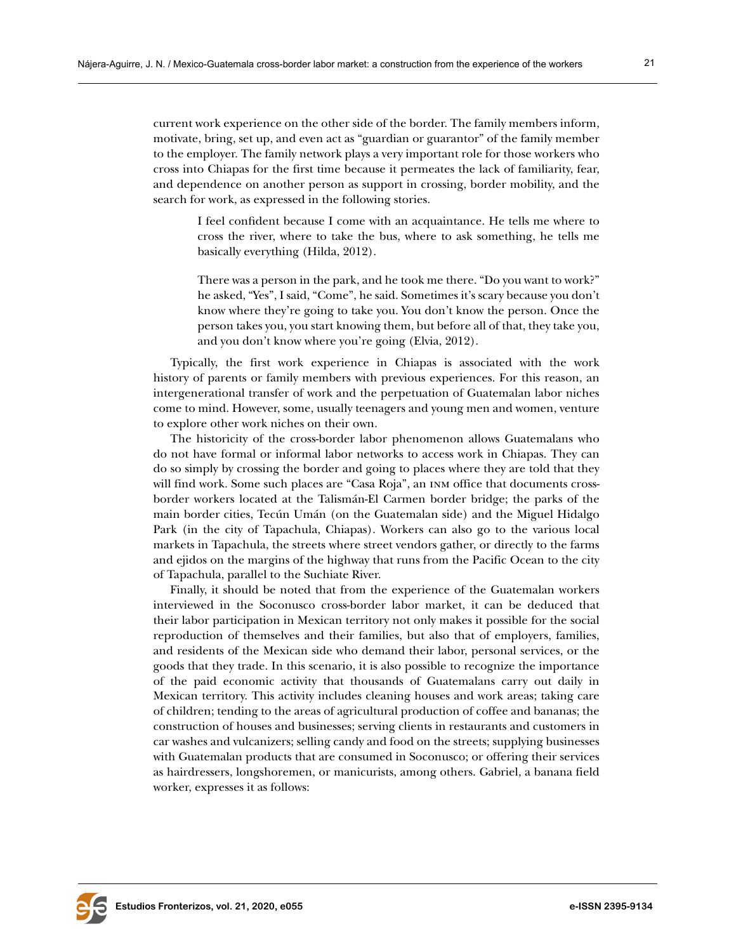current work experience on the other side of the border. The family members inform, motivate, bring, set up, and even act as "guardian or guarantor" of the family member to the employer. The family network plays a very important role for those workers who cross into Chiapas for the first time because it permeates the lack of familiarity, fear, and dependence on another person as support in crossing, border mobility, and the search for work, as expressed in the following stories.

I feel confident because I come with an acquaintance. He tells me where to cross the river, where to take the bus, where to ask something, he tells me basically everything (Hilda, 2012).

There was a person in the park, and he took me there. "Do you want to work?" he asked, "Yes", I said, "Come", he said. Sometimes it's scary because you don't know where they're going to take you. You don't know the person. Once the person takes you, you start knowing them, but before all of that, they take you, and you don't know where you're going (Elvia, 2012).

Typically, the first work experience in Chiapas is associated with the work history of parents or family members with previous experiences. For this reason, an intergenerational transfer of work and the perpetuation of Guatemalan labor niches come to mind. However, some, usually teenagers and young men and women, venture to explore other work niches on their own.

The historicity of the cross-border labor phenomenon allows Guatemalans who do not have formal or informal labor networks to access work in Chiapas. They can do so simply by crossing the border and going to places where they are told that they will find work. Some such places are "Casa Roja", an inm office that documents crossborder workers located at the Talismán-El Carmen border bridge; the parks of the main border cities, Tecún Umán (on the Guatemalan side) and the Miguel Hidalgo Park (in the city of Tapachula, Chiapas). Workers can also go to the various local markets in Tapachula, the streets where street vendors gather, or directly to the farms and ejidos on the margins of the highway that runs from the Pacific Ocean to the city of Tapachula, parallel to the Suchiate River.

Finally, it should be noted that from the experience of the Guatemalan workers interviewed in the Soconusco cross-border labor market, it can be deduced that their labor participation in Mexican territory not only makes it possible for the social reproduction of themselves and their families, but also that of employers, families, and residents of the Mexican side who demand their labor, personal services, or the goods that they trade. In this scenario, it is also possible to recognize the importance of the paid economic activity that thousands of Guatemalans carry out daily in Mexican territory. This activity includes cleaning houses and work areas; taking care of children; tending to the areas of agricultural production of coffee and bananas; the construction of houses and businesses; serving clients in restaurants and customers in car washes and vulcanizers; selling candy and food on the streets; supplying businesses with Guatemalan products that are consumed in Soconusco; or offering their services as hairdressers, longshoremen, or manicurists, among others. Gabriel, a banana field worker, expresses it as follows:

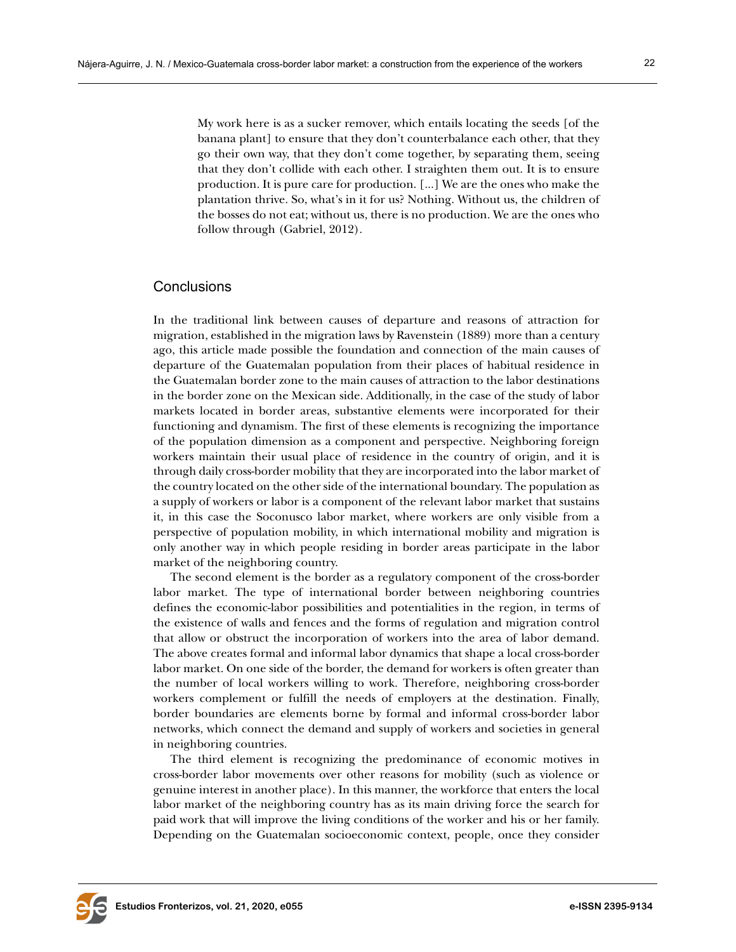My work here is as a sucker remover, which entails locating the seeds [of the banana plant] to ensure that they don't counterbalance each other, that they go their own way, that they don't come together, by separating them, seeing that they don't collide with each other. I straighten them out. It is to ensure production. It is pure care for production. [...] We are the ones who make the plantation thrive. So, what's in it for us? Nothing. Without us, the children of the bosses do not eat; without us, there is no production. We are the ones who follow through (Gabriel, 2012).

## **Conclusions**

In the traditional link between causes of departure and reasons of attraction for migration, established in the migration laws by Ravenstein (1889) more than a century ago, this article made possible the foundation and connection of the main causes of departure of the Guatemalan population from their places of habitual residence in the Guatemalan border zone to the main causes of attraction to the labor destinations in the border zone on the Mexican side. Additionally, in the case of the study of labor markets located in border areas, substantive elements were incorporated for their functioning and dynamism. The first of these elements is recognizing the importance of the population dimension as a component and perspective. Neighboring foreign workers maintain their usual place of residence in the country of origin, and it is through daily cross-border mobility that they are incorporated into the labor market of the country located on the other side of the international boundary. The population as a supply of workers or labor is a component of the relevant labor market that sustains it, in this case the Soconusco labor market, where workers are only visible from a perspective of population mobility, in which international mobility and migration is only another way in which people residing in border areas participate in the labor market of the neighboring country.

The second element is the border as a regulatory component of the cross-border labor market. The type of international border between neighboring countries defines the economic-labor possibilities and potentialities in the region, in terms of the existence of walls and fences and the forms of regulation and migration control that allow or obstruct the incorporation of workers into the area of labor demand. The above creates formal and informal labor dynamics that shape a local cross-border labor market. On one side of the border, the demand for workers is often greater than the number of local workers willing to work. Therefore, neighboring cross-border workers complement or fulfill the needs of employers at the destination. Finally, border boundaries are elements borne by formal and informal cross-border labor networks, which connect the demand and supply of workers and societies in general in neighboring countries.

The third element is recognizing the predominance of economic motives in cross-border labor movements over other reasons for mobility (such as violence or genuine interest in another place). In this manner, the workforce that enters the local labor market of the neighboring country has as its main driving force the search for paid work that will improve the living conditions of the worker and his or her family. Depending on the Guatemalan socioeconomic context, people, once they consider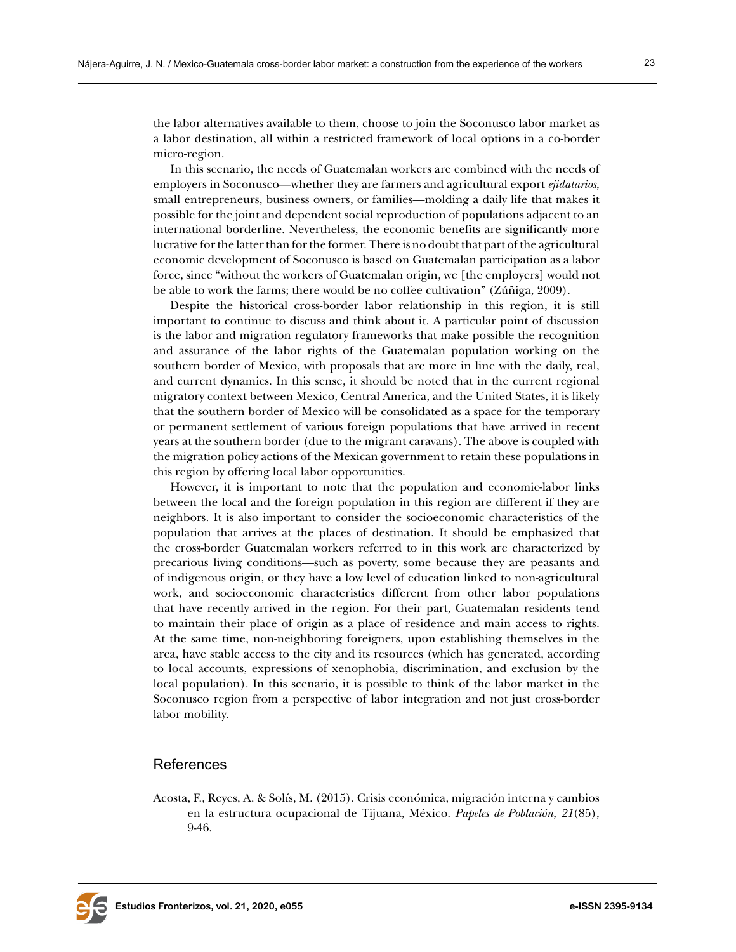the labor alternatives available to them, choose to join the Soconusco labor market as a labor destination, all within a restricted framework of local options in a co-border micro-region.

In this scenario, the needs of Guatemalan workers are combined with the needs of employers in Soconusco—whether they are farmers and agricultural export *ejidatarios*, small entrepreneurs, business owners, or families—molding a daily life that makes it possible for the joint and dependent social reproduction of populations adjacent to an international borderline. Nevertheless, the economic benefits are significantly more lucrative for the latter than for the former. There is no doubt that part of the agricultural economic development of Soconusco is based on Guatemalan participation as a labor force, since "without the workers of Guatemalan origin, we [the employers] would not be able to work the farms; there would be no coffee cultivation" (Zúñiga, 2009).

Despite the historical cross-border labor relationship in this region, it is still important to continue to discuss and think about it. A particular point of discussion is the labor and migration regulatory frameworks that make possible the recognition and assurance of the labor rights of the Guatemalan population working on the southern border of Mexico, with proposals that are more in line with the daily, real, and current dynamics. In this sense, it should be noted that in the current regional migratory context between Mexico, Central America, and the United States, it is likely that the southern border of Mexico will be consolidated as a space for the temporary or permanent settlement of various foreign populations that have arrived in recent years at the southern border (due to the migrant caravans). The above is coupled with the migration policy actions of the Mexican government to retain these populations in this region by offering local labor opportunities.

However, it is important to note that the population and economic-labor links between the local and the foreign population in this region are different if they are neighbors. It is also important to consider the socioeconomic characteristics of the population that arrives at the places of destination. It should be emphasized that the cross-border Guatemalan workers referred to in this work are characterized by precarious living conditions—such as poverty, some because they are peasants and of indigenous origin, or they have a low level of education linked to non-agricultural work, and socioeconomic characteristics different from other labor populations that have recently arrived in the region. For their part, Guatemalan residents tend to maintain their place of origin as a place of residence and main access to rights. At the same time, non-neighboring foreigners, upon establishing themselves in the area, have stable access to the city and its resources (which has generated, according to local accounts, expressions of xenophobia, discrimination, and exclusion by the local population). In this scenario, it is possible to think of the labor market in the Soconusco region from a perspective of labor integration and not just cross-border labor mobility.

## References

Acosta, F., Reyes, A. & Solís, M. (2015). Crisis económica, migración interna y cambios en la estructura ocupacional de Tijuana, México. *Papeles de Población*, *21*(85), 9-46.

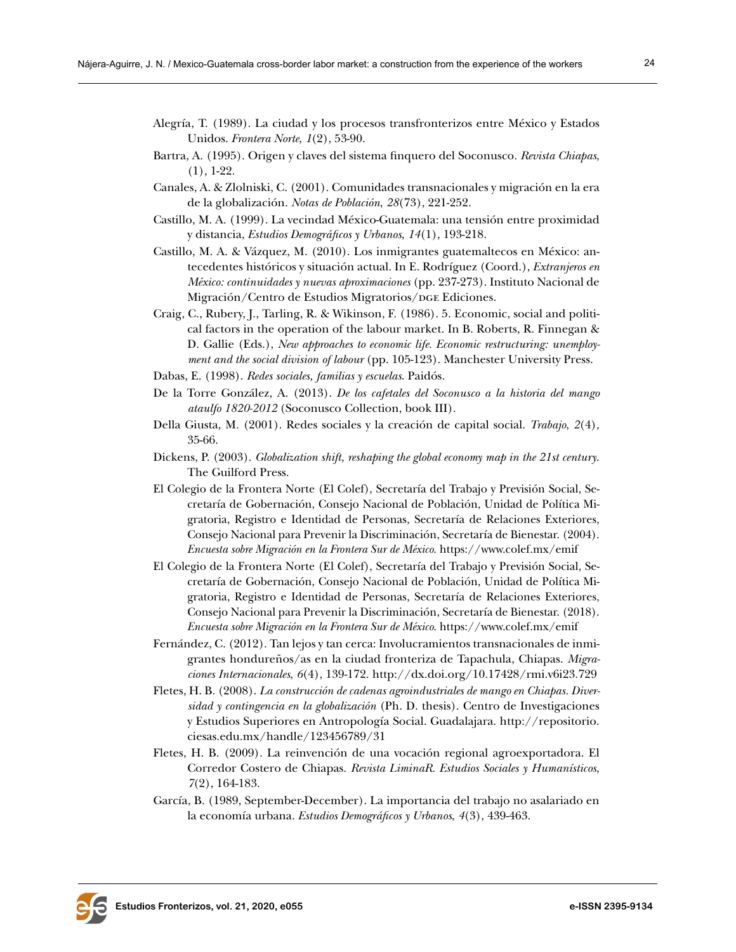- Alegría, T. (1989). La ciudad y los procesos transfronterizos entre México y Estados Unidos. *Frontera Norte*, *1*(2), 53-90.
- Bartra, A. (1995). Origen y claves del sistema finquero del Soconusco. *Revista Chiapas*,  $(1), 1-22.$
- Canales, A. & Zlolniski, C. (2001). Comunidades transnacionales y migración en la era de la globalización. *Notas de Población*, *28*(73), 221-252.
- Castillo, M. A. (1999). La vecindad México-Guatemala: una tensión entre proximidad y distancia, *Estudios Demográficos y Urbanos*, *14*(1), 193-218.
- Castillo, M. A. & Vázquez, M. (2010). Los inmigrantes guatemaltecos en México: antecedentes históricos y situación actual. In E. Rodríguez (Coord.), *Extranjeros en México: continuidades y nuevas aproximaciones* (pp. 237-273). Instituto Nacional de Migración/Centro de Estudios Migratorios/DGE Ediciones.
- Craig, C., Rubery, J., Tarling, R. & Wikinson, F. (1986). 5. Economic, social and political factors in the operation of the labour market. In B. Roberts, R. Finnegan & D. Gallie (Eds.), *New approaches to economic life. Economic restructuring: unemployment and the social division of labour* (pp. 105-123). Manchester University Press.
- Dabas, E. (1998). *Redes sociales, familias y escuelas*. Paidós.
- De la Torre González, A. (2013). *De los cafetales del Soconusco a la historia del mango ataulfo 1820-2012* (Soconusco Collection, book III).
- Della Giusta, M. (2001). Redes sociales y la creación de capital social. *Trabajo*, *2*(4), 35-66.
- Dickens, P. (2003). *Globalization shift, reshaping the global economy map in the 21st century*. The Guilford Press.
- El Colegio de la Frontera Norte (El Colef), Secretaría del Trabajo y Previsión Social, Secretaría de Gobernación, Consejo Nacional de Población, Unidad de Política Migratoria, Registro e Identidad de Personas, Secretaría de Relaciones Exteriores, Consejo Nacional para Prevenir la Discriminación, Secretaría de Bienestar. (2004). *Encuesta sobre Migración en la Frontera Sur de México*. <https://www.colef.mx/emif>
- El Colegio de la Frontera Norte (El Colef), Secretaría del Trabajo y Previsión Social, Secretaría de Gobernación, Consejo Nacional de Población, Unidad de Política Migratoria, Registro e Identidad de Personas, Secretaría de Relaciones Exteriores, Consejo Nacional para Prevenir la Discriminación, Secretaría de Bienestar. (2018). *Encuesta sobre Migración en la Frontera Sur de México*. <https://www.colef.mx/emif>
- Fernández, C. (2012). Tan lejos y tan cerca: Involucramientos transnacionales de inmigrantes hondureños/as en la ciudad fronteriza de Tapachula, Chiapas. *Migraciones Internacionales*, *6*(4), 139-172. [http://dx.doi.org/10.17428/rmi.v6i23.729](http://dx.doi.org/10.17428/rmi.v6i23.729 )
- Fletes, H. B. (2008). *La construcción de cadenas agroindustriales de mango en Chiapas. Diversidad y contingencia en la globalización* (Ph. D. thesis). Centro de Investigaciones y Estudios Superiores en Antropología Social. Guadalajara. [http://repositorio.](http://repositorio.ciesas.edu.mx/handle/123456789/31) [ciesas.edu.mx/handle/123456789/31](http://repositorio.ciesas.edu.mx/handle/123456789/31)
- Fletes, H. B. (2009). La reinvención de una vocación regional agroexportadora. El Corredor Costero de Chiapas. *Revista LiminaR. Estudios Sociales y Humanísticos*, *7*(2), 164-183.
- García, B. (1989, September-December). La importancia del trabajo no asalariado en la economía urbana. *Estudios Demográficos y Urbanos*, *4*(3), 439-463.

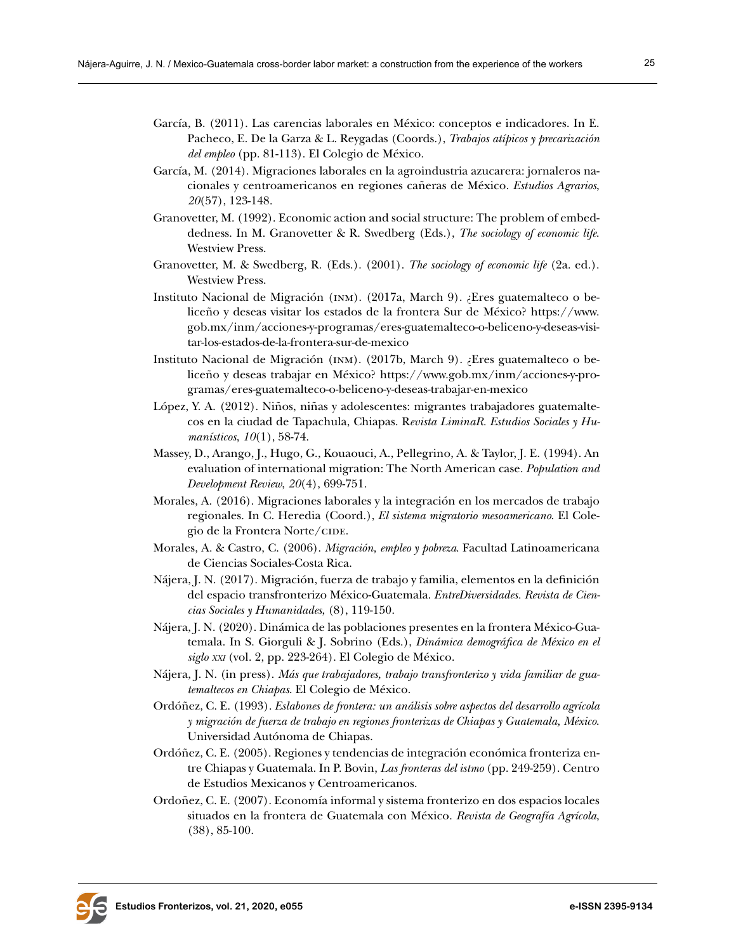- García, B. (2011). Las carencias laborales en México: conceptos e indicadores. In E. Pacheco, E. De la Garza & L. Reygadas (Coords.), *Trabajos atípicos y precarización del empleo* (pp. 81-113). El Colegio de México.
- García, M. (2014). Migraciones laborales en la agroindustria azucarera: jornaleros nacionales y centroamericanos en regiones cañeras de México. *Estudios Agrarios*, *20*(57), 123-148.
- Granovetter, M. (1992). Economic action and social structure: The problem of embeddedness. In M. Granovetter & R. Swedberg (Eds.), *The sociology of economic life*. Westview Press.
- Granovetter, M. & Swedberg, R. (Eds.). (2001). *The sociology of economic life* (2a. ed.). Westview Press.
- Instituto Nacional de Migración (inm). (2017a, March 9). ¿Eres guatemalteco o beliceño y deseas visitar los estados de la frontera Sur de México? [https://www.](https://www.gob.mx/inm/acciones-y-programas/eres-guatemalteco-o-beliceno-y-deseas-visitar-los-estados-de-la-frontera-sur-de-mexico) [gob.mx/inm/acciones-y-programas/eres-guatemalteco-o-beliceno-y-deseas-visi](https://www.gob.mx/inm/acciones-y-programas/eres-guatemalteco-o-beliceno-y-deseas-visitar-los-estados-de-la-frontera-sur-de-mexico)[tar-los-estados-de-la-frontera-sur-de-mexico](https://www.gob.mx/inm/acciones-y-programas/eres-guatemalteco-o-beliceno-y-deseas-visitar-los-estados-de-la-frontera-sur-de-mexico)
- Instituto Nacional de Migración (inm). (2017b, March 9). ¿Eres guatemalteco o beliceño y deseas trabajar en México? [https://www.gob.mx/inm/acciones-y-pro](https://www.gob.mx/inm/acciones-y-programas/eres-guatemalteco-o-beliceno-y-deseas-trabajar-en-mexico)[gramas/eres-guatemalteco-o-beliceno-y-deseas-trabajar-en-mexico](https://www.gob.mx/inm/acciones-y-programas/eres-guatemalteco-o-beliceno-y-deseas-trabajar-en-mexico)
- López, Y. A. (2012). Niños, niñas y adolescentes: migrantes trabajadores guatemaltecos en la ciudad de Tapachula, Chiapas. R*evista LiminaR. Estudios Sociales y Humanísticos*, *10*(1), 58-74.
- Massey, D., Arango, J., Hugo, G., Kouaouci, A., Pellegrino, A. & Taylor, J. E. (1994). An evaluation of international migration: The North American case. *Population and Development Review*, *20*(4), 699-751.
- Morales, A. (2016). Migraciones laborales y la integración en los mercados de trabajo regionales. In C. Heredia (Coord.), *El sistema migratorio mesoamericano*. El Colegio de la Frontera Norte/CIDE.
- Morales, A. & Castro, C. (2006). *Migración, empleo y pobreza*. Facultad Latinoamericana de Ciencias Sociales-Costa Rica.
- Nájera, J. N. (2017). Migración, fuerza de trabajo y familia, elementos en la definición del espacio transfronterizo México-Guatemala. *EntreDiversidades. Revista de Ciencias Sociales y Humanidades*, (8), 119-150.
- Nájera, J. N. (2020). Dinámica de las poblaciones presentes en la frontera México-Guatemala. In S. Giorguli & J. Sobrino (Eds.), *Dinámica demográfica de México en el siglo xxi* (vol. 2, pp. 223-264). El Colegio de México.
- Nájera, J. N. (in press). *Más que trabajadores, trabajo transfronterizo y vida familiar de guatemaltecos en Chiapas*. El Colegio de México.
- Ordóñez, C. E. (1993). *Eslabones de frontera: un análisis sobre aspectos del desarrollo agrícola y migración de fuerza de trabajo en regiones fronterizas de Chiapas y Guatemala, México*. Universidad Autónoma de Chiapas.
- Ordóñez, C. E. (2005). Regiones y tendencias de integración económica fronteriza entre Chiapas y Guatemala. In P. Bovin, *Las fronteras del istmo* (pp. 249-259). Centro de Estudios Mexicanos y Centroamericanos.
- Ordoñez, C. E. (2007). Economía informal y sistema fronterizo en dos espacios locales situados en la frontera de Guatemala con México. *Revista de Geografía Agrícola*, (38), 85-100.

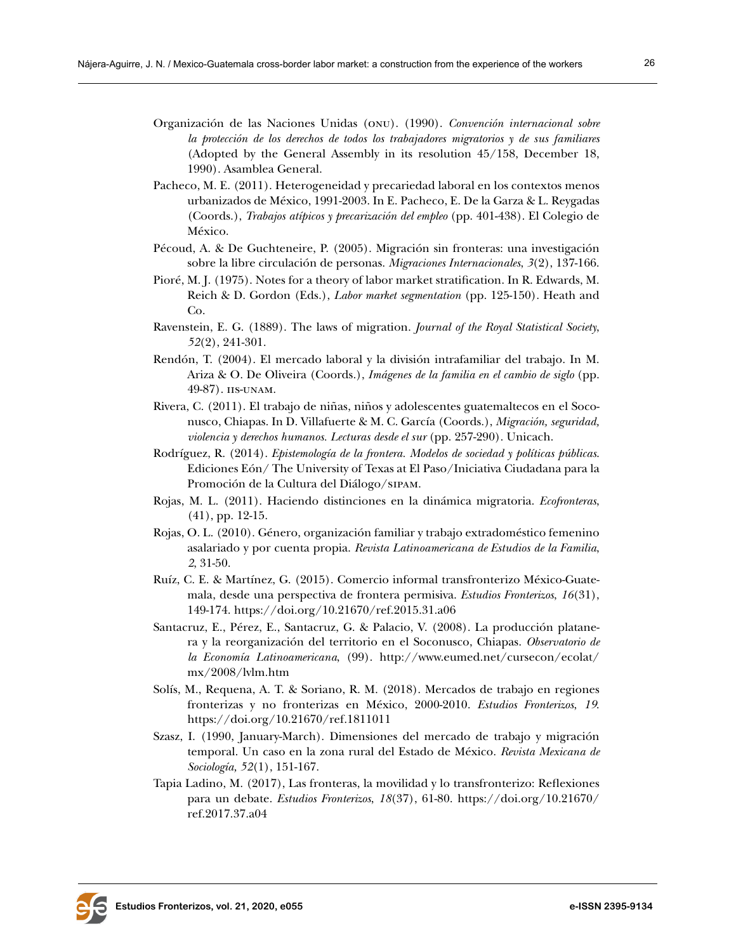- Organización de las Naciones Unidas (onu). (1990). *Convención internacional sobre la protección de los derechos de todos los trabajadores migratorios y de sus familiares* (Adopted by the General Assembly in its resolution 45/158, December 18, 1990). Asamblea General.
- Pacheco, M. E. (2011). Heterogeneidad y precariedad laboral en los contextos menos urbanizados de México, 1991-2003. In E. Pacheco, E. De la Garza & L. Reygadas (Coords.), *Trabajos atípicos y precarización del empleo* (pp. 401-438). El Colegio de México.
- Pécoud, A. & De Guchteneire, P. (2005). Migración sin fronteras: una investigación sobre la libre circulación de personas. *Migraciones Internacionales*, *3*(2), 137-166.
- Pioré, M. J. (1975). Notes for a theory of labor market stratification. In R. Edwards, M. Reich & D. Gordon (Eds.), *Labor market segmentation* (pp. 125-150). Heath and Co.
- Ravenstein, E. G. (1889). The laws of migration. *Journal of the Royal Statistical Society*, *52*(2), 241-301.
- Rendón, T. (2004). El mercado laboral y la división intrafamiliar del trabajo. In M. Ariza & O. De Oliveira (Coords.), *Imágenes de la familia en el cambio de siglo* (pp. 49-87). iis-unam.
- Rivera, C. (2011). El trabajo de niñas, niños y adolescentes guatemaltecos en el Soconusco, Chiapas. In D. Villafuerte & M. C. García (Coords.), *Migración, seguridad, violencia y derechos humanos. Lecturas desde el sur* (pp. 257-290). Unicach.
- Rodríguez, R. (2014). *Epistemología de la frontera. Modelos de sociedad y políticas públicas*. Ediciones Eón/ The University of Texas at El Paso/Iniciativa Ciudadana para la Promoción de la Cultura del Diálogo/sipam.
- Rojas, M. L. (2011). Haciendo distinciones en la dinámica migratoria. *Ecofronteras*, (41), pp. 12-15.
- Rojas, O. L. (2010). Género, organización familiar y trabajo extradoméstico femenino asalariado y por cuenta propia. *Revista Latinoamericana de Estudios de la Familia*, *2*, 31-50.
- Ruíz, C. E. & Martínez, G. (2015). Comercio informal transfronterizo México-Guatemala, desde una perspectiva de frontera permisiva. *Estudios Fronterizos*, *16*(31), 149-174. <https://doi.org/10.21670/ref.2015.31.a06>
- Santacruz, E., Pérez, E., Santacruz, G. & Palacio, V. (2008). La producción platanera y la reorganización del territorio en el Soconusco, Chiapas. *Observatorio de la Economía Latinoamericana*, (99). [http://www.eumed.net/cursecon/ecolat/](http://www.eumed.net/cursecon/ecolat/mx/2008/lvlm.htm ) [mx/2008/lvlm.htm](http://www.eumed.net/cursecon/ecolat/mx/2008/lvlm.htm )
- Solís, M., Requena, A. T. & Soriano, R. M. (2018). Mercados de trabajo en regiones fronterizas y no fronterizas en México, 2000-2010. *Estudios Fronterizos*, *19*. <https://doi.org/10.21670/ref.1811011>
- Szasz, I. (1990, January-March). Dimensiones del mercado de trabajo y migración temporal. Un caso en la zona rural del Estado de México. *Revista Mexicana de Sociología, 52*(1), 151-167.
- Tapia Ladino, M. (2017), Las fronteras, la movilidad y lo transfronterizo: Reflexiones para un debate. *Estudios Fronterizos*, *18*(37), 61-80. [https://doi.org/10.21670/](https://doi.org/10.21670/ref.2017.37.a04 ) [ref.2017.37.a04](https://doi.org/10.21670/ref.2017.37.a04 )

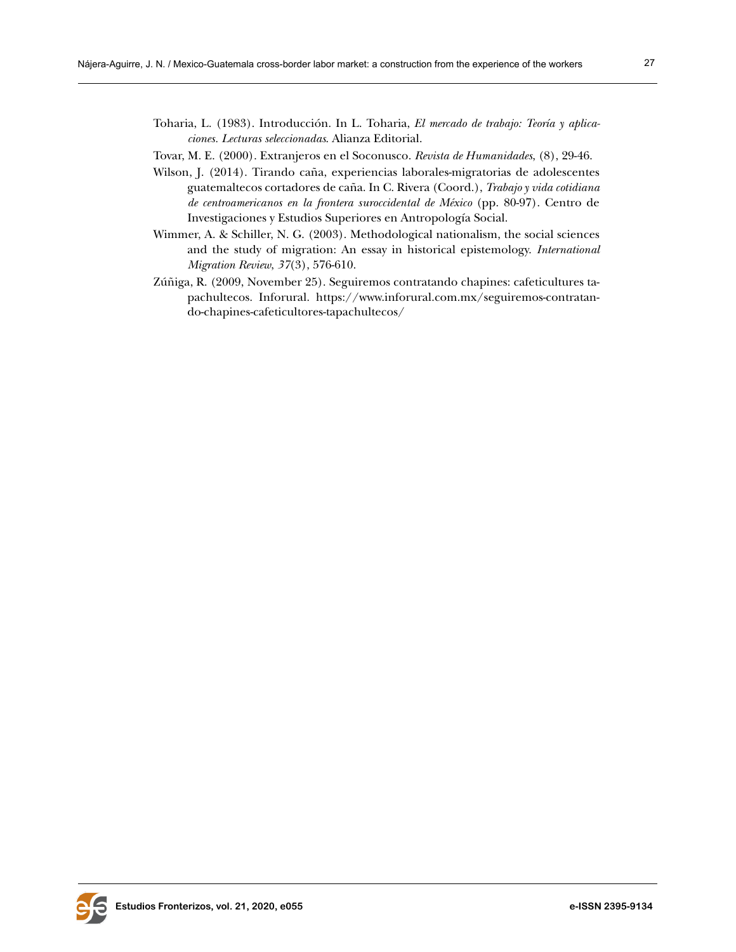- Toharia, [L. \(1983\).](https://www.tirant.com/derecho/autorList/luis-toharia-cortes-29572) Introducción. In L. Toharia, *El mercado de trabajo: Teoría y aplicaciones. Lecturas seleccionadas*. Alianza Editorial.
- Tovar, M. E. (2000). Extranjeros en el Soconusco. *Revista de Humanidades*, (8), 29-46.
- Wilson, J. (2014). Tirando caña, experiencias laborales-migratorias de adolescentes guatemaltecos cortadores de caña. In C. Rivera (Coord.), *Trabajo y vida cotidiana de centroamericanos en la frontera suroccidental de México* (pp. 80-97). Centro de Investigaciones y Estudios Superiores en Antropología Social.
- Wimmer, A. & Schiller, N. G. (2003). Methodological nationalism, the social sciences and the study of migration: An essay in historical epistemology. *International Migration Review*, *37*(3), 576-610.
- Zúñiga, R. (2009, November 25). Seguiremos contratando chapines: cafeticultures tapachultecos. Inforural. [https://www.inforural.com.mx/seguiremos-contratan](https://www.inforural.com.mx/seguiremos-contratando-chapines-cafeticultores-tapachultecos/)[do-chapines-cafeticultores-tapachultecos/](https://www.inforural.com.mx/seguiremos-contratando-chapines-cafeticultores-tapachultecos/)